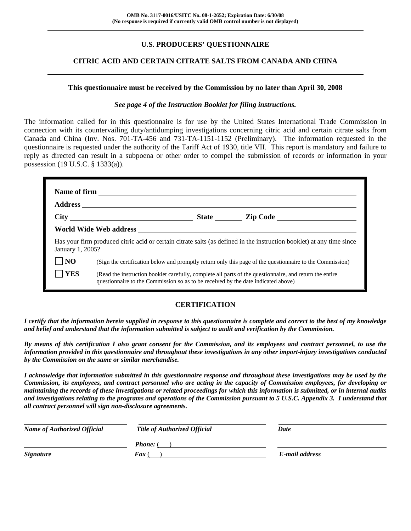# **U.S. PRODUCERS' QUESTIONNAIRE**

# **CITRIC ACID AND CERTAIN CITRATE SALTS FROM CANADA AND CHINA**

#### **This questionnaire must be received by the Commission by no later than April 30, 2008**

#### *See page 4 of the Instruction Booklet for filing instructions.*

The information called for in this questionnaire is for use by the United States International Trade Commission in connection with its countervailing duty/antidumping investigations concerning citric acid and certain citrate salts from Canada and China (Inv. Nos. 701-TA-456 and 731-TA-1151-1152 (Preliminary). The information requested in the questionnaire is requested under the authority of the Tariff Act of 1930, title VII. This report is mandatory and failure to reply as directed can result in a subpoena or other order to compel the submission of records or information in your possession (19 U.S.C. § 1333(a)).

| January 1, 2005? |                                                                                                                                                                                              |  | Has your firm produced citric acid or certain citrate salts (as defined in the instruction booklet) at any time since |  |  |  |  |
|------------------|----------------------------------------------------------------------------------------------------------------------------------------------------------------------------------------------|--|-----------------------------------------------------------------------------------------------------------------------|--|--|--|--|
| NO               | (Sign the certification below and promptly return only this page of the questionnaire to the Commission)                                                                                     |  |                                                                                                                       |  |  |  |  |
| <b>YES</b>       | (Read the instruction booklet carefully, complete all parts of the questionnaire, and return the entire<br>questionnaire to the Commission so as to be received by the date indicated above) |  |                                                                                                                       |  |  |  |  |

# **CERTIFICATION**

*I certify that the information herein supplied in response to this questionnaire is complete and correct to the best of my knowledge and belief and understand that the information submitted is subject to audit and verification by the Commission.* 

*By means of this certification I also grant consent for the Commission, and its employees and contract personnel, to use the information provided in this questionnaire and throughout these investigations in any other import-injury investigations conducted by the Commission on the same or similar merchandise.* 

*I acknowledge that information submitted in this questionnaire response and throughout these investigations may be used by the Commission, its employees, and contract personnel who are acting in the capacity of Commission employees, for developing or maintaining the records of these investigations or related proceedings for which this information is submitted, or in internal audits and investigations relating to the programs and operations of the Commission pursuant to 5 U.S.C. Appendix 3. I understand that all contract personnel will sign non-disclosure agreements.* 

| <b>Name of Authorized Official</b> | <b>Title of Authorized Official</b> | Date           |  |
|------------------------------------|-------------------------------------|----------------|--|
|                                    | <b>Phone:</b> (                     |                |  |
| <b>Signature</b>                   | <b>Fax</b> (                        | E-mail address |  |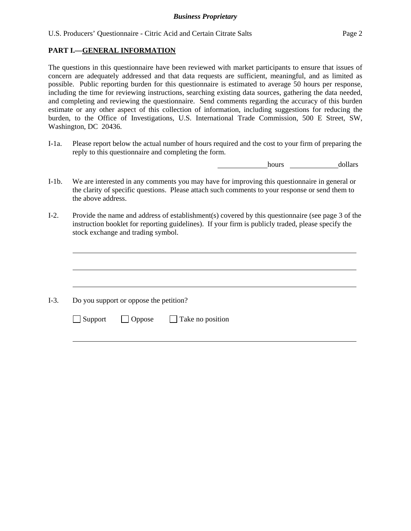## **PART I.—GENERAL INFORMATION**

 $\overline{a}$ 

 $\overline{a}$ 

l

The questions in this questionnaire have been reviewed with market participants to ensure that issues of concern are adequately addressed and that data requests are sufficient, meaningful, and as limited as possible. Public reporting burden for this questionnaire is estimated to average 50 hours per response, including the time for reviewing instructions, searching existing data sources, gathering the data needed, and completing and reviewing the questionnaire. Send comments regarding the accuracy of this burden estimate or any other aspect of this collection of information, including suggestions for reducing the burden, to the Office of Investigations, U.S. International Trade Commission, 500 E Street, SW, Washington, DC 20436.

I-1a. Please report below the actual number of hours required and the cost to your firm of preparing the reply to this questionnaire and completing the form.

**hours** <u>hours</u> dollars

- I-1b. We are interested in any comments you may have for improving this questionnaire in general or the clarity of specific questions. Please attach such comments to your response or send them to the above address.
- I-2. Provide the name and address of establishment(s) covered by this questionnaire (see page 3 of the instruction booklet for reporting guidelines). If your firm is publicly traded, please specify the stock exchange and trading symbol.

 $\overline{a}$ I-3. Do you support or oppose the petition?  $\Box$  Support  $\Box$  Oppose  $\Box$  Take no position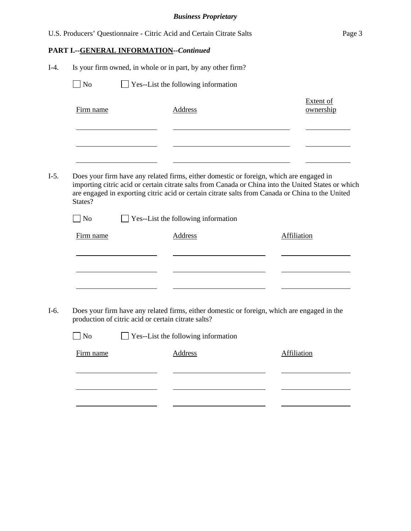|        |           |                                                     | U.S. Producers' Questionnaire - Citric Acid and Certain Citrate Salts                                                                                                                                                                                                                              | Page 3                        |
|--------|-----------|-----------------------------------------------------|----------------------------------------------------------------------------------------------------------------------------------------------------------------------------------------------------------------------------------------------------------------------------------------------------|-------------------------------|
|        |           | PART I.--GENERAL INFORMATION--Continued             |                                                                                                                                                                                                                                                                                                    |                               |
| $I-4.$ |           |                                                     | Is your firm owned, in whole or in part, by any other firm?                                                                                                                                                                                                                                        |                               |
|        | No        |                                                     | $\Box$ Yes--List the following information                                                                                                                                                                                                                                                         |                               |
|        | Firm name |                                                     | <b>Address</b>                                                                                                                                                                                                                                                                                     | <b>Extent of</b><br>ownership |
|        |           |                                                     |                                                                                                                                                                                                                                                                                                    |                               |
| $I-5.$ | States?   |                                                     | Does your firm have any related firms, either domestic or foreign, which are engaged in<br>importing citric acid or certain citrate salts from Canada or China into the United States or which<br>are engaged in exporting citric acid or certain citrate salts from Canada or China to the United |                               |
|        | No        |                                                     | Yes--List the following information                                                                                                                                                                                                                                                                |                               |
|        | Firm name |                                                     | <b>Address</b>                                                                                                                                                                                                                                                                                     | <b>Affiliation</b>            |
|        |           |                                                     |                                                                                                                                                                                                                                                                                                    |                               |
|        |           |                                                     |                                                                                                                                                                                                                                                                                                    |                               |
| $I-6.$ |           | production of citric acid or certain citrate salts? | Does your firm have any related firms, either domestic or foreign, which are engaged in the                                                                                                                                                                                                        |                               |
|        | No        |                                                     | Yes--List the following information                                                                                                                                                                                                                                                                |                               |
|        | Firm name |                                                     | <b>Address</b>                                                                                                                                                                                                                                                                                     | <b>Affiliation</b>            |
|        |           |                                                     |                                                                                                                                                                                                                                                                                                    |                               |
|        |           |                                                     |                                                                                                                                                                                                                                                                                                    |                               |
|        |           |                                                     |                                                                                                                                                                                                                                                                                                    |                               |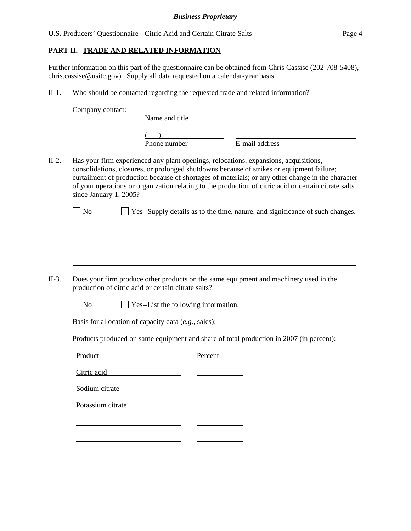U.S. Producers' Questionnaire - Citric Acid and Certain Citrate Salts Page 4

# **PART II.--TRADE AND RELATED INFORMATION**

Further information on this part of the questionnaire can be obtained from Chris Cassise (202-708-5408), chris.cassise@usitc.gov). Supply all data requested on a calendar-year basis.

II-1. Who should be contacted regarding the requested trade and related information?

Company contact: Name and title  $($ Phone number E-mail address II-2. Has your firm experienced any plant openings, relocations, expansions, acquisitions, consolidations, closures, or prolonged shutdowns because of strikes or equipment failure; curtailment of production because of shortages of materials; or any other change in the character of your operations or organization relating to the production of citric acid or certain citrate salts since January 1, 2005?  $\Box$  No  $\Box$  Yes--Supply details as to the time, nature, and significance of such changes.  $\overline{a}$  $\overline{a}$  $\overline{a}$ II-3. Does your firm produce other products on the same equipment and machinery used in the production of citric acid or certain citrate salts?  $\Box$  No  $\Box$  Yes--List the following information. Basis for allocation of capacity data (*e.g.*, sales): Products produced on same equipment and share of total production in 2007 (in percent): Product Percent Citric acid Sodium citrate Potassium citrate l l l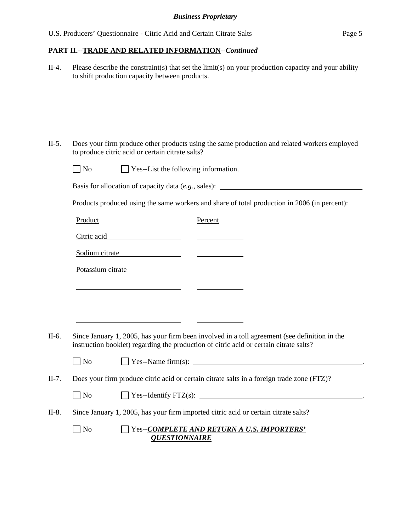| $II-4.$ | Please describe the constraint(s) that set the limit(s) on your production capacity and your ability<br>to shift production capacity between products.                                  |  |  |  |  |  |
|---------|-----------------------------------------------------------------------------------------------------------------------------------------------------------------------------------------|--|--|--|--|--|
|         |                                                                                                                                                                                         |  |  |  |  |  |
| $II-5.$ | Does your firm produce other products using the same production and related workers employed<br>to produce citric acid or certain citrate salts?                                        |  |  |  |  |  |
|         | $\Box$ No<br>$\Box$ Yes--List the following information.                                                                                                                                |  |  |  |  |  |
|         | Basis for allocation of capacity data (e.g., sales): ____________________________                                                                                                       |  |  |  |  |  |
|         | Products produced using the same workers and share of total production in 2006 (in percent):                                                                                            |  |  |  |  |  |
|         | Product<br>Percent                                                                                                                                                                      |  |  |  |  |  |
|         | Citric acid Citric and Citric acid                                                                                                                                                      |  |  |  |  |  |
|         | Sodium citrate                                                                                                                                                                          |  |  |  |  |  |
|         | Potassium citrate                                                                                                                                                                       |  |  |  |  |  |
|         | <u> 1989 - Johann Barn, amerikansk politiker (</u>                                                                                                                                      |  |  |  |  |  |
|         |                                                                                                                                                                                         |  |  |  |  |  |
|         | the contract of the contract of the contract of the contract of the contract of                                                                                                         |  |  |  |  |  |
| II-6.   | Since January 1, 2005, has your firm been involved in a toll agreement (see definition in the<br>instruction booklet) regarding the production of citric acid or certain citrate salts? |  |  |  |  |  |
|         |                                                                                                                                                                                         |  |  |  |  |  |
| $II-7.$ | Does your firm produce citric acid or certain citrate salts in a foreign trade zone (FTZ)?                                                                                              |  |  |  |  |  |
|         | $\Box$ No                                                                                                                                                                               |  |  |  |  |  |
| $II-8.$ | Since January 1, 2005, has your firm imported citric acid or certain citrate salts?                                                                                                     |  |  |  |  |  |
|         | $\Box$ No<br>Yes--COMPLETE AND RETURN A U.S. IMPORTERS'<br><b>QUESTIONNAIRE</b>                                                                                                         |  |  |  |  |  |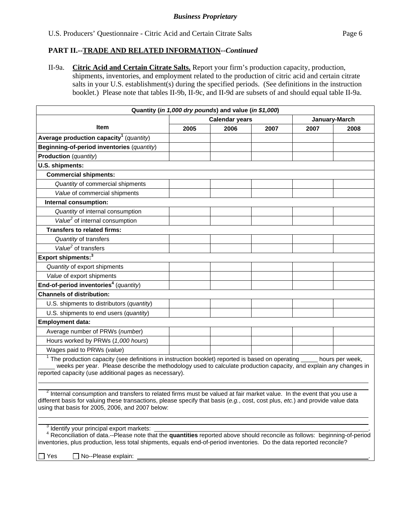II-9a. **Citric Acid and Certain Citrate Salts.** Report your firm's production capacity, production, shipments, inventories, and employment related to the production of citric acid and certain citrate salts in your U.S. establishment(s) during the specified periods. (See definitions in the instruction booklet.) Please note that tables II-9b, II-9c, and II-9d are subsets of and should equal table II-9a.

|                                                     | Quantity (in 1,000 dry pounds) and value (in \$1,000) |                       |      |      |               |  |
|-----------------------------------------------------|-------------------------------------------------------|-----------------------|------|------|---------------|--|
|                                                     |                                                       | <b>Calendar years</b> |      |      | January-March |  |
| <b>Item</b>                                         | 2005                                                  | 2006                  | 2007 | 2007 | 2008          |  |
| Average production capacity <sup>1</sup> (quantity) |                                                       |                       |      |      |               |  |
| Beginning-of-period inventories (quantity)          |                                                       |                       |      |      |               |  |
| <b>Production</b> (quantity)                        |                                                       |                       |      |      |               |  |
| U.S. shipments:                                     |                                                       |                       |      |      |               |  |
| <b>Commercial shipments:</b>                        |                                                       |                       |      |      |               |  |
| Quantity of commercial shipments                    |                                                       |                       |      |      |               |  |
| Value of commercial shipments                       |                                                       |                       |      |      |               |  |
| Internal consumption:                               |                                                       |                       |      |      |               |  |
| Quantity of internal consumption                    |                                                       |                       |      |      |               |  |
| Value <sup>2</sup> of internal consumption          |                                                       |                       |      |      |               |  |
| <b>Transfers to related firms:</b>                  |                                                       |                       |      |      |               |  |
| Quantity of transfers                               |                                                       |                       |      |      |               |  |
| Value <sup>2</sup> of transfers                     |                                                       |                       |      |      |               |  |
| Export shipments: <sup>3</sup>                      |                                                       |                       |      |      |               |  |
| Quantity of export shipments                        |                                                       |                       |      |      |               |  |
| Value of export shipments                           |                                                       |                       |      |      |               |  |
| End-of-period inventories <sup>4</sup> (quantity)   |                                                       |                       |      |      |               |  |
| <b>Channels of distribution:</b>                    |                                                       |                       |      |      |               |  |
| U.S. shipments to distributors (quantity)           |                                                       |                       |      |      |               |  |
| U.S. shipments to end users (quantity)              |                                                       |                       |      |      |               |  |
| <b>Employment data:</b>                             |                                                       |                       |      |      |               |  |
| Average number of PRWs (number)                     |                                                       |                       |      |      |               |  |
| Hours worked by PRWs (1,000 hours)                  |                                                       |                       |      |      |               |  |
| Wages paid to PRWs (value)                          |                                                       |                       |      |      |               |  |

reported capacity (use additional pages as necessary).

 $\overline{a}$ <sup>2</sup> Internal consumption and transfers to related firms must be valued at fair market value. In the event that you use a different basis for valuing these transactions, please specify that basis (*e.g.*, cost, cost plus, *etc.*) and provide value data using that basis for 2005, 2006, and 2007 below:

<sup>3</sup> Identify your principal export markets: Identify your principal export markets: .

 <sup>4</sup> Reconciliation of data.--Please note that the **quantities** reported above should reconcile as follows: beginning-of-period inventories, plus production, less total shipments, equals end-of-period inventories. Do the data reported reconcile?

 $\Box$  Yes  $\Box$  No--Please explain:

  $\overline{a}$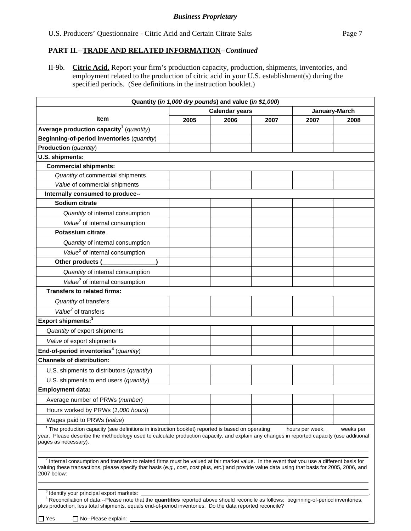II-9b. **Citric Acid.** Report your firm's production capacity, production, shipments, inventories, and employment related to the production of citric acid in your U.S. establishment(s) during the specified periods. (See definitions in the instruction booklet.)

| Quantity (in 1,000 dry pounds) and value (in \$1,000)                                                                                                                                                                                                                                                                   |                       |      |      |                 |           |
|-------------------------------------------------------------------------------------------------------------------------------------------------------------------------------------------------------------------------------------------------------------------------------------------------------------------------|-----------------------|------|------|-----------------|-----------|
|                                                                                                                                                                                                                                                                                                                         | <b>Calendar years</b> |      |      | January-March   |           |
| <b>Item</b>                                                                                                                                                                                                                                                                                                             | 2005                  | 2006 | 2007 | 2007            | 2008      |
| Average production capacity <sup>1</sup> (quantity)                                                                                                                                                                                                                                                                     |                       |      |      |                 |           |
| Beginning-of-period inventories (quantity)                                                                                                                                                                                                                                                                              |                       |      |      |                 |           |
| <b>Production</b> (quantity)                                                                                                                                                                                                                                                                                            |                       |      |      |                 |           |
| U.S. shipments:                                                                                                                                                                                                                                                                                                         |                       |      |      |                 |           |
| <b>Commercial shipments:</b>                                                                                                                                                                                                                                                                                            |                       |      |      |                 |           |
| Quantity of commercial shipments                                                                                                                                                                                                                                                                                        |                       |      |      |                 |           |
| Value of commercial shipments                                                                                                                                                                                                                                                                                           |                       |      |      |                 |           |
| Internally consumed to produce--                                                                                                                                                                                                                                                                                        |                       |      |      |                 |           |
| Sodium citrate                                                                                                                                                                                                                                                                                                          |                       |      |      |                 |           |
| Quantity of internal consumption                                                                                                                                                                                                                                                                                        |                       |      |      |                 |           |
| Value <sup>2</sup> of internal consumption                                                                                                                                                                                                                                                                              |                       |      |      |                 |           |
| <b>Potassium citrate</b>                                                                                                                                                                                                                                                                                                |                       |      |      |                 |           |
| Quantity of internal consumption                                                                                                                                                                                                                                                                                        |                       |      |      |                 |           |
| Value <sup>2</sup> of internal consumption                                                                                                                                                                                                                                                                              |                       |      |      |                 |           |
| Other products (                                                                                                                                                                                                                                                                                                        |                       |      |      |                 |           |
| Quantity of internal consumption                                                                                                                                                                                                                                                                                        |                       |      |      |                 |           |
| Value <sup>2</sup> of internal consumption                                                                                                                                                                                                                                                                              |                       |      |      |                 |           |
| <b>Transfers to related firms:</b>                                                                                                                                                                                                                                                                                      |                       |      |      |                 |           |
| Quantity of transfers                                                                                                                                                                                                                                                                                                   |                       |      |      |                 |           |
| Value <sup>2</sup> of transfers                                                                                                                                                                                                                                                                                         |                       |      |      |                 |           |
| Export shipments: <sup>3</sup>                                                                                                                                                                                                                                                                                          |                       |      |      |                 |           |
| Quantity of export shipments                                                                                                                                                                                                                                                                                            |                       |      |      |                 |           |
| Value of export shipments                                                                                                                                                                                                                                                                                               |                       |      |      |                 |           |
| End-of-period inventories <sup>4</sup> (quantity)                                                                                                                                                                                                                                                                       |                       |      |      |                 |           |
| <b>Channels of distribution:</b>                                                                                                                                                                                                                                                                                        |                       |      |      |                 |           |
| U.S. shipments to distributors (quantity)                                                                                                                                                                                                                                                                               |                       |      |      |                 |           |
| U.S. shipments to end users (quantity)                                                                                                                                                                                                                                                                                  |                       |      |      |                 |           |
| <b>Employment data:</b>                                                                                                                                                                                                                                                                                                 |                       |      |      |                 |           |
| Average number of PRWs (number)                                                                                                                                                                                                                                                                                         |                       |      |      |                 |           |
| Hours worked by PRWs (1,000 hours)                                                                                                                                                                                                                                                                                      |                       |      |      |                 |           |
| Wages paid to PRWs (value)                                                                                                                                                                                                                                                                                              |                       |      |      |                 |           |
|                                                                                                                                                                                                                                                                                                                         |                       |      |      |                 |           |
| <sup>1</sup> The production capacity (see definitions in instruction booklet) reported is based on operating<br>year. Please describe the methodology used to calculate production capacity, and explain any changes in reported capacity (use additional<br>pages as necessary).                                       |                       |      |      | hours per week, | weeks per |
| <sup>2</sup> Internal consumption and transfers to related firms must be valued at fair market value. In the event that you use a different basis for<br>valuing these transactions, please specify that basis (e.g., cost, cost plus, etc.) and provide value data using that basis for 2005, 2006, and<br>2007 below: |                       |      |      |                 |           |
| <sup>3</sup> Identify your principal export markets:<br><sup>4</sup> Reconciliation of data.--Please note that the quantities reported above should reconcile as follows: beginning-of-period inventories,<br>plus production, less total shipments, equals end-of-period inventories. Do the data reported reconcile?  |                       |      |      |                 |           |

 $\Box$  Yes  $\Box$  No--Please explain: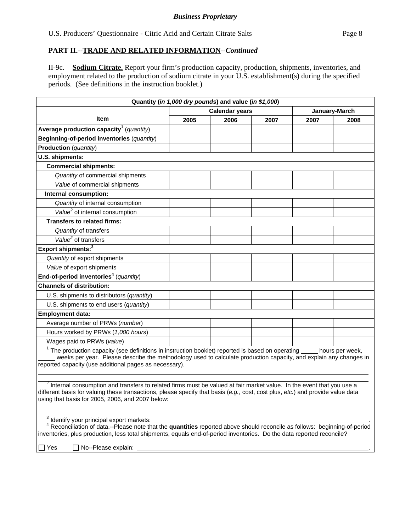II-9c. **Sodium Citrate.** Report your firm's production capacity, production, shipments, inventories, and employment related to the production of sodium citrate in your U.S. establishment(s) during the specified periods. (See definitions in the instruction booklet.)

| Quantity (in 1,000 dry pounds) and value (in \$1,000)                                                                                                                                                                                                                                                                   |                                                                                                                                                                                                                                                                |      |      |      |               |  |
|-------------------------------------------------------------------------------------------------------------------------------------------------------------------------------------------------------------------------------------------------------------------------------------------------------------------------|----------------------------------------------------------------------------------------------------------------------------------------------------------------------------------------------------------------------------------------------------------------|------|------|------|---------------|--|
|                                                                                                                                                                                                                                                                                                                         | <b>Calendar years</b>                                                                                                                                                                                                                                          |      |      |      | January-March |  |
| Item                                                                                                                                                                                                                                                                                                                    | 2005                                                                                                                                                                                                                                                           | 2006 | 2007 | 2007 | 2008          |  |
| Average production capacity <sup>1</sup> (quantity)                                                                                                                                                                                                                                                                     |                                                                                                                                                                                                                                                                |      |      |      |               |  |
| Beginning-of-period inventories (quantity)                                                                                                                                                                                                                                                                              |                                                                                                                                                                                                                                                                |      |      |      |               |  |
| Production (quantity)                                                                                                                                                                                                                                                                                                   |                                                                                                                                                                                                                                                                |      |      |      |               |  |
| U.S. shipments:                                                                                                                                                                                                                                                                                                         |                                                                                                                                                                                                                                                                |      |      |      |               |  |
| <b>Commercial shipments:</b>                                                                                                                                                                                                                                                                                            |                                                                                                                                                                                                                                                                |      |      |      |               |  |
| Quantity of commercial shipments                                                                                                                                                                                                                                                                                        |                                                                                                                                                                                                                                                                |      |      |      |               |  |
| Value of commercial shipments                                                                                                                                                                                                                                                                                           |                                                                                                                                                                                                                                                                |      |      |      |               |  |
| Internal consumption:                                                                                                                                                                                                                                                                                                   |                                                                                                                                                                                                                                                                |      |      |      |               |  |
| Quantity of internal consumption                                                                                                                                                                                                                                                                                        |                                                                                                                                                                                                                                                                |      |      |      |               |  |
| Value <sup>2</sup> of internal consumption                                                                                                                                                                                                                                                                              |                                                                                                                                                                                                                                                                |      |      |      |               |  |
| <b>Transfers to related firms:</b>                                                                                                                                                                                                                                                                                      |                                                                                                                                                                                                                                                                |      |      |      |               |  |
| Quantity of transfers                                                                                                                                                                                                                                                                                                   |                                                                                                                                                                                                                                                                |      |      |      |               |  |
| Value <sup>2</sup> of transfers                                                                                                                                                                                                                                                                                         |                                                                                                                                                                                                                                                                |      |      |      |               |  |
| Export shipments: <sup>3</sup>                                                                                                                                                                                                                                                                                          |                                                                                                                                                                                                                                                                |      |      |      |               |  |
| Quantity of export shipments                                                                                                                                                                                                                                                                                            |                                                                                                                                                                                                                                                                |      |      |      |               |  |
| Value of export shipments                                                                                                                                                                                                                                                                                               |                                                                                                                                                                                                                                                                |      |      |      |               |  |
| End-of-period inventories <sup>4</sup> (quantity)                                                                                                                                                                                                                                                                       |                                                                                                                                                                                                                                                                |      |      |      |               |  |
| <b>Channels of distribution:</b>                                                                                                                                                                                                                                                                                        |                                                                                                                                                                                                                                                                |      |      |      |               |  |
| U.S. shipments to distributors (quantity)                                                                                                                                                                                                                                                                               |                                                                                                                                                                                                                                                                |      |      |      |               |  |
| U.S. shipments to end users (quantity)                                                                                                                                                                                                                                                                                  |                                                                                                                                                                                                                                                                |      |      |      |               |  |
| <b>Employment data:</b>                                                                                                                                                                                                                                                                                                 |                                                                                                                                                                                                                                                                |      |      |      |               |  |
| Average number of PRWs (number)                                                                                                                                                                                                                                                                                         |                                                                                                                                                                                                                                                                |      |      |      |               |  |
| Hours worked by PRWs (1,000 hours)                                                                                                                                                                                                                                                                                      |                                                                                                                                                                                                                                                                |      |      |      |               |  |
| Wages paid to PRWs (value)                                                                                                                                                                                                                                                                                              |                                                                                                                                                                                                                                                                |      |      |      |               |  |
| $1$ The production capacity (see definitions in instruction booklet) reported is based on operating $\_\_$<br>hours per week,<br>weeks per year. Please describe the methodology used to calculate production capacity, and explain any changes in<br>reported capacity (use additional pages as necessary).            |                                                                                                                                                                                                                                                                |      |      |      |               |  |
| <sup>2</sup> Internal consumption and transfers to related firms must be valued at fair market value. In the event that you use a<br>different basis for valuing these transactions, please specify that basis (e.g., cost, cost plus, etc.) and provide value data<br>using that basis for 2005, 2006, and 2007 below: |                                                                                                                                                                                                                                                                |      |      |      |               |  |
| $\frac{3}{1}$ Identify your principal export markets:<br>No--Please explain:<br>$\Box$ Yes                                                                                                                                                                                                                              | <sup>4</sup> Reconciliation of data.--Please note that the quantities reported above should reconcile as follows: beginning-of-period<br>inventories, plus production, less total shipments, equals end-of-period inventories. Do the data reported reconcile? |      |      |      |               |  |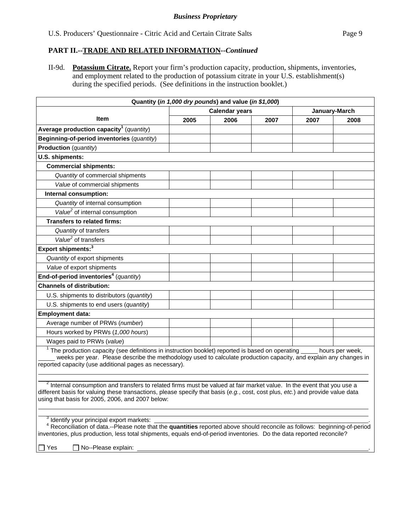II-9d. **Potassium Citrate.** Report your firm's production capacity, production, shipments, inventories, and employment related to the production of potassium citrate in your U.S. establishment(s) during the specified periods. (See definitions in the instruction booklet.)

| Quantity (in 1,000 dry pounds) and value (in \$1,000)                                                                                                                                                                                                                                                                   |                       |      |      |      |                 |
|-------------------------------------------------------------------------------------------------------------------------------------------------------------------------------------------------------------------------------------------------------------------------------------------------------------------------|-----------------------|------|------|------|-----------------|
|                                                                                                                                                                                                                                                                                                                         | <b>Calendar years</b> |      |      |      | January-March   |
| <b>Item</b>                                                                                                                                                                                                                                                                                                             | 2005                  | 2006 | 2007 | 2007 | 2008            |
| Average production capacity <sup>1</sup> (quantity)                                                                                                                                                                                                                                                                     |                       |      |      |      |                 |
| Beginning-of-period inventories (quantity)                                                                                                                                                                                                                                                                              |                       |      |      |      |                 |
| <b>Production</b> (quantity)                                                                                                                                                                                                                                                                                            |                       |      |      |      |                 |
| U.S. shipments:                                                                                                                                                                                                                                                                                                         |                       |      |      |      |                 |
| <b>Commercial shipments:</b>                                                                                                                                                                                                                                                                                            |                       |      |      |      |                 |
| Quantity of commercial shipments                                                                                                                                                                                                                                                                                        |                       |      |      |      |                 |
| Value of commercial shipments                                                                                                                                                                                                                                                                                           |                       |      |      |      |                 |
| Internal consumption:                                                                                                                                                                                                                                                                                                   |                       |      |      |      |                 |
| Quantity of internal consumption                                                                                                                                                                                                                                                                                        |                       |      |      |      |                 |
| Value <sup>2</sup> of internal consumption                                                                                                                                                                                                                                                                              |                       |      |      |      |                 |
| <b>Transfers to related firms:</b>                                                                                                                                                                                                                                                                                      |                       |      |      |      |                 |
| Quantity of transfers                                                                                                                                                                                                                                                                                                   |                       |      |      |      |                 |
| Value <sup>2</sup> of transfers                                                                                                                                                                                                                                                                                         |                       |      |      |      |                 |
| Export shipments: <sup>3</sup>                                                                                                                                                                                                                                                                                          |                       |      |      |      |                 |
| Quantity of export shipments                                                                                                                                                                                                                                                                                            |                       |      |      |      |                 |
| Value of export shipments                                                                                                                                                                                                                                                                                               |                       |      |      |      |                 |
| End-of-period inventories <sup>4</sup> (quantity)                                                                                                                                                                                                                                                                       |                       |      |      |      |                 |
| <b>Channels of distribution:</b>                                                                                                                                                                                                                                                                                        |                       |      |      |      |                 |
| U.S. shipments to distributors (quantity)                                                                                                                                                                                                                                                                               |                       |      |      |      |                 |
| U.S. shipments to end users (quantity)                                                                                                                                                                                                                                                                                  |                       |      |      |      |                 |
| <b>Employment data:</b>                                                                                                                                                                                                                                                                                                 |                       |      |      |      |                 |
| Average number of PRWs (number)                                                                                                                                                                                                                                                                                         |                       |      |      |      |                 |
| Hours worked by PRWs (1,000 hours)                                                                                                                                                                                                                                                                                      |                       |      |      |      |                 |
| Wages paid to PRWs (value)                                                                                                                                                                                                                                                                                              |                       |      |      |      |                 |
| $1$ The production capacity (see definitions in instruction booklet) reported is based on operating $\overline{\phantom{a}}$<br>weeks per year. Please describe the methodology used to calculate production capacity, and explain any changes in<br>reported capacity (use additional pages as necessary).             |                       |      |      |      | hours per week, |
| <sup>2</sup> Internal consumption and transfers to related firms must be valued at fair market value. In the event that you use a<br>different basis for valuing these transactions, please specify that basis (e.g., cost, cost plus, etc.) and provide value data<br>using that basis for 2005, 2006, and 2007 below: |                       |      |      |      |                 |
| $3$ Identify your principal export markets:<br>Reconciliation of data.--Please note that the quantities reported above should reconcile as follows: beginning-of-period<br>inventories, plus production, less total shipments, equals end-of-period inventories. Do the data reported reconcile?                        |                       |      |      |      |                 |
| No--Please explain:<br>$\Box$ Yes                                                                                                                                                                                                                                                                                       |                       |      |      |      |                 |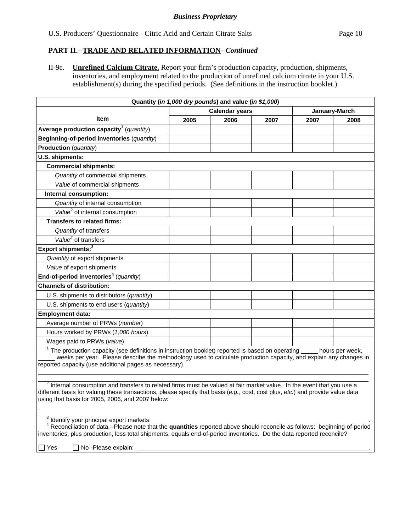II-9e. **Unrefined Calcium Citrate.** Report your firm's production capacity, production, shipments, inventories, and employment related to the production of unrefined calcium citrate in your U.S. establishment(s) during the specified periods. (See definitions in the instruction booklet.)

| Quantity (in 1,000 dry pounds) and value (in \$1,000)                                                                                                                                                                                                                                                                                                      |                       |      |      |               |      |  |
|------------------------------------------------------------------------------------------------------------------------------------------------------------------------------------------------------------------------------------------------------------------------------------------------------------------------------------------------------------|-----------------------|------|------|---------------|------|--|
|                                                                                                                                                                                                                                                                                                                                                            | <b>Calendar years</b> |      |      | January-March |      |  |
| <b>Item</b>                                                                                                                                                                                                                                                                                                                                                | 2005                  | 2006 | 2007 | 2007          | 2008 |  |
| Average production capacity <sup>1</sup> (quantity)                                                                                                                                                                                                                                                                                                        |                       |      |      |               |      |  |
| Beginning-of-period inventories (quantity)                                                                                                                                                                                                                                                                                                                 |                       |      |      |               |      |  |
| <b>Production</b> (quantity)                                                                                                                                                                                                                                                                                                                               |                       |      |      |               |      |  |
| U.S. shipments:                                                                                                                                                                                                                                                                                                                                            |                       |      |      |               |      |  |
| <b>Commercial shipments:</b>                                                                                                                                                                                                                                                                                                                               |                       |      |      |               |      |  |
| Quantity of commercial shipments                                                                                                                                                                                                                                                                                                                           |                       |      |      |               |      |  |
| Value of commercial shipments                                                                                                                                                                                                                                                                                                                              |                       |      |      |               |      |  |
| Internal consumption:                                                                                                                                                                                                                                                                                                                                      |                       |      |      |               |      |  |
| Quantity of internal consumption                                                                                                                                                                                                                                                                                                                           |                       |      |      |               |      |  |
| Value <sup>2</sup> of internal consumption                                                                                                                                                                                                                                                                                                                 |                       |      |      |               |      |  |
| <b>Transfers to related firms:</b>                                                                                                                                                                                                                                                                                                                         |                       |      |      |               |      |  |
| Quantity of transfers                                                                                                                                                                                                                                                                                                                                      |                       |      |      |               |      |  |
| Value <sup>2</sup> of transfers                                                                                                                                                                                                                                                                                                                            |                       |      |      |               |      |  |
| Export shipments: <sup>3</sup>                                                                                                                                                                                                                                                                                                                             |                       |      |      |               |      |  |
| Quantity of export shipments                                                                                                                                                                                                                                                                                                                               |                       |      |      |               |      |  |
| Value of export shipments                                                                                                                                                                                                                                                                                                                                  |                       |      |      |               |      |  |
| End-of-period inventories <sup>4</sup> (quantity)                                                                                                                                                                                                                                                                                                          |                       |      |      |               |      |  |
| <b>Channels of distribution:</b>                                                                                                                                                                                                                                                                                                                           |                       |      |      |               |      |  |
| U.S. shipments to distributors (quantity)                                                                                                                                                                                                                                                                                                                  |                       |      |      |               |      |  |
| U.S. shipments to end users (quantity)                                                                                                                                                                                                                                                                                                                     |                       |      |      |               |      |  |
| <b>Employment data:</b>                                                                                                                                                                                                                                                                                                                                    |                       |      |      |               |      |  |
| Average number of PRWs (number)                                                                                                                                                                                                                                                                                                                            |                       |      |      |               |      |  |
| Hours worked by PRWs (1,000 hours)                                                                                                                                                                                                                                                                                                                         |                       |      |      |               |      |  |
| Wages paid to PRWs (value)                                                                                                                                                                                                                                                                                                                                 |                       |      |      |               |      |  |
| $1$ The production capacity (see definitions in instruction booklet) reported is based on operating<br>hours per week,<br>weeks per year. Please describe the methodology used to calculate production capacity, and explain any changes in<br>reported capacity (use additional pages as necessary).                                                      |                       |      |      |               |      |  |
| $2$ Internal consumption and transfers to related firms must be valued at fair market value. In the event that you use a<br>different basis for valuing these transactions, please specify that basis (e.g., cost, cost plus, etc.) and provide value data<br>using that basis for 2005, 2006, and 2007 below:                                             |                       |      |      |               |      |  |
| $\frac{3}{4}$ Identify your principal export markets: $\frac{1}{4}$ Reconciliation of data.--Please note that the <b>quantities</b> reported above should reconcile as follows: beginning-of-period<br>inventories, plus production, less total shipments, equals end-of-period inventories. Do the data reported reconcile?<br>No--Please explain:<br>Yes |                       |      |      |               |      |  |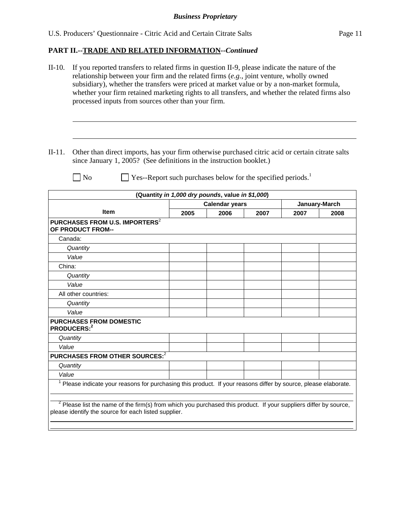| $II-10.$<br>If you reported transfers to related firms in question II-9, please indicate the nature of the<br>relationship between your firm and the related firms $(e.g.,$ joint venture, wholly owned<br>subsidiary), whether the transfers were priced at market value or by a non-market formula,<br>whether your firm retained marketing rights to all transfers, and whether the related firms also<br>processed inputs from sources other than your firm. |                                                                                                                                                                            |      |                                                  |                                                                          |      |               |
|------------------------------------------------------------------------------------------------------------------------------------------------------------------------------------------------------------------------------------------------------------------------------------------------------------------------------------------------------------------------------------------------------------------------------------------------------------------|----------------------------------------------------------------------------------------------------------------------------------------------------------------------------|------|--------------------------------------------------|--------------------------------------------------------------------------|------|---------------|
|                                                                                                                                                                                                                                                                                                                                                                                                                                                                  |                                                                                                                                                                            |      |                                                  |                                                                          |      |               |
| $II-11.$                                                                                                                                                                                                                                                                                                                                                                                                                                                         | Other than direct imports, has your firm otherwise purchased citric acid or certain citrate salts<br>since January 1, 2005? (See definitions in the instruction booklet.)  |      |                                                  |                                                                          |      |               |
|                                                                                                                                                                                                                                                                                                                                                                                                                                                                  | N <sub>o</sub>                                                                                                                                                             |      |                                                  | Yes--Report such purchases below for the specified periods. <sup>1</sup> |      |               |
|                                                                                                                                                                                                                                                                                                                                                                                                                                                                  |                                                                                                                                                                            |      | (Quantity in 1,000 dry pounds, value in \$1,000) |                                                                          |      |               |
|                                                                                                                                                                                                                                                                                                                                                                                                                                                                  |                                                                                                                                                                            |      | <b>Calendar years</b>                            |                                                                          |      | January-March |
|                                                                                                                                                                                                                                                                                                                                                                                                                                                                  | Item                                                                                                                                                                       | 2005 | 2006                                             | 2007                                                                     | 2007 | 2008          |
|                                                                                                                                                                                                                                                                                                                                                                                                                                                                  | PURCHASES FROM U.S. IMPORTERS <sup>2</sup><br>OF PRODUCT FROM--                                                                                                            |      |                                                  |                                                                          |      |               |
|                                                                                                                                                                                                                                                                                                                                                                                                                                                                  | Canada:                                                                                                                                                                    |      |                                                  |                                                                          |      |               |
|                                                                                                                                                                                                                                                                                                                                                                                                                                                                  | Quantity                                                                                                                                                                   |      |                                                  |                                                                          |      |               |
|                                                                                                                                                                                                                                                                                                                                                                                                                                                                  | Value                                                                                                                                                                      |      |                                                  |                                                                          |      |               |
| China:                                                                                                                                                                                                                                                                                                                                                                                                                                                           |                                                                                                                                                                            |      |                                                  |                                                                          |      |               |
|                                                                                                                                                                                                                                                                                                                                                                                                                                                                  | Quantity                                                                                                                                                                   |      |                                                  |                                                                          |      |               |
|                                                                                                                                                                                                                                                                                                                                                                                                                                                                  | Value                                                                                                                                                                      |      |                                                  |                                                                          |      |               |
|                                                                                                                                                                                                                                                                                                                                                                                                                                                                  | All other countries:                                                                                                                                                       |      |                                                  |                                                                          |      |               |
|                                                                                                                                                                                                                                                                                                                                                                                                                                                                  | Quantity                                                                                                                                                                   |      |                                                  |                                                                          |      |               |
|                                                                                                                                                                                                                                                                                                                                                                                                                                                                  | Value                                                                                                                                                                      |      |                                                  |                                                                          |      |               |
|                                                                                                                                                                                                                                                                                                                                                                                                                                                                  | <b>PURCHASES FROM DOMESTIC</b><br>PRODUCERS: <sup>2</sup>                                                                                                                  |      |                                                  |                                                                          |      |               |
|                                                                                                                                                                                                                                                                                                                                                                                                                                                                  | Quantity                                                                                                                                                                   |      |                                                  |                                                                          |      |               |
| Value                                                                                                                                                                                                                                                                                                                                                                                                                                                            |                                                                                                                                                                            |      |                                                  |                                                                          |      |               |
|                                                                                                                                                                                                                                                                                                                                                                                                                                                                  | PURCHASES FROM OTHER SOURCES: <sup>2</sup>                                                                                                                                 |      |                                                  |                                                                          |      |               |
|                                                                                                                                                                                                                                                                                                                                                                                                                                                                  | Quantity                                                                                                                                                                   |      |                                                  |                                                                          |      |               |
| Value                                                                                                                                                                                                                                                                                                                                                                                                                                                            |                                                                                                                                                                            |      |                                                  |                                                                          |      |               |
| 1                                                                                                                                                                                                                                                                                                                                                                                                                                                                | Please indicate your reasons for purchasing this product. If your reasons differ by source, please elaborate.                                                              |      |                                                  |                                                                          |      |               |
|                                                                                                                                                                                                                                                                                                                                                                                                                                                                  | $2$ Please list the name of the firm(s) from which you purchased this product. If your suppliers differ by source,<br>please identify the source for each listed supplier. |      |                                                  |                                                                          |      |               |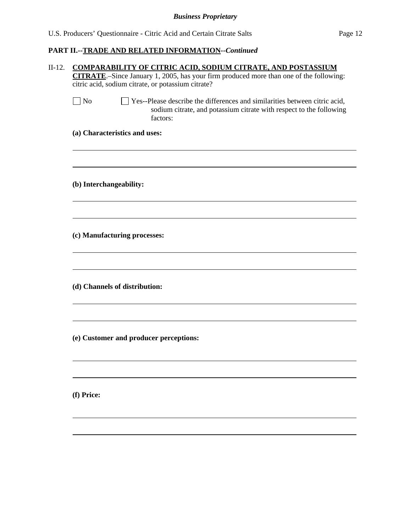|                         | <b>CITRATE</b> .-Since January 1, 2005, has your firm produced more than one of the following:                                                                  |
|-------------------------|-----------------------------------------------------------------------------------------------------------------------------------------------------------------|
|                         | citric acid, sodium citrate, or potassium citrate?                                                                                                              |
| $\Box$ No               | □ Yes--Please describe the differences and similarities between citric acid,<br>sodium citrate, and potassium citrate with respect to the following<br>factors: |
|                         | (a) Characteristics and uses:                                                                                                                                   |
| (b) Interchangeability: |                                                                                                                                                                 |
|                         |                                                                                                                                                                 |
|                         | (c) Manufacturing processes:                                                                                                                                    |
|                         | (d) Channels of distribution:                                                                                                                                   |
|                         |                                                                                                                                                                 |
|                         | (e) Customer and producer perceptions:                                                                                                                          |
| (f) Price:              |                                                                                                                                                                 |
|                         |                                                                                                                                                                 |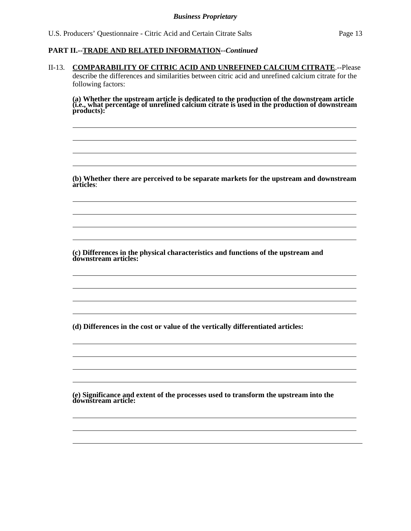l  $\overline{a}$  $\overline{a}$  $\overline{a}$ 

 $\overline{a}$  $\overline{a}$  $\overline{a}$  $\overline{a}$ 

 $\overline{a}$  $\overline{a}$  $\overline{a}$  $\overline{a}$ 

 $\overline{a}$  $\overline{a}$  $\overline{a}$  $\overline{a}$ 

l  $\overline{a}$  $\overline{a}$ 

#### **PART II.--TRADE AND RELATED INFORMATION***--Continued*

II-13. **COMPARABILITY OF CITRIC ACID AND UNREFINED CALCIUM CITRATE**.--Please describe the differences and similarities between citric acid and unrefined calcium citrate for the following factors:

**(a) Whether the upstream article is dedicated to the production of the downstream article (i.e., what percentage of unrefined calcium citrate is used in the production of downstream products):** 

**(b) Whether there are perceived to be separate markets for the upstream and downstream articles**:

**(c) Differences in the physical characteristics and functions of the upstream and downstream articles:** 

**(d) Differences in the cost or value of the vertically differentiated articles:** 

**(e) Significance and extent of the processes used to transform the upstream into the downstream article:**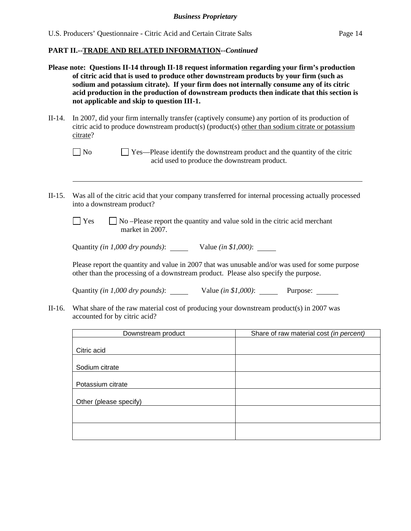- **Please note: Questions II-14 through II-18 request information regarding your firm's production of citric acid that is used to produce other downstream products by your firm (such as sodium and potassium citrate). If your firm does not internally consume any of its citric acid production in the production of downstream products then indicate that this section is not applicable and skip to question III-1.**
- II-14. In 2007, did your firm internally transfer (captively consume) any portion of its production of citric acid to produce downstream product(s) (product(s) other than sodium citrate or potassium citrate?

- II-15. Was all of the citric acid that your company transferred for internal processing actually processed into a downstream product?
	- $\Box$  Yes  $\Box$  No –Please report the quantity and value sold in the citric acid merchant market in 2007.

Quantity *(in 1,000 dry pounds)*: Value *(in \$1,000)*:

Please report the quantity and value in 2007 that was unusable and/or was used for some purpose other than the processing of a downstream product. Please also specify the purpose.

Quantity *(in 1,000 dry pounds)*: Value *(in \$1,000)*: Purpose: \_\_\_\_\_\_

II-16. What share of the raw material cost of producing your downstream product(s) in 2007 was accounted for by citric acid?

| Downstream product     | Share of raw material cost (in percent) |
|------------------------|-----------------------------------------|
|                        |                                         |
| Citric acid            |                                         |
|                        |                                         |
| Sodium citrate         |                                         |
|                        |                                         |
| Potassium citrate      |                                         |
|                        |                                         |
| Other (please specify) |                                         |
|                        |                                         |
|                        |                                         |
|                        |                                         |
|                        |                                         |

 $\Box$  No  $\Box$  Yes—Please identify the downstream product and the quantity of the citric acid used to produce the downstream product.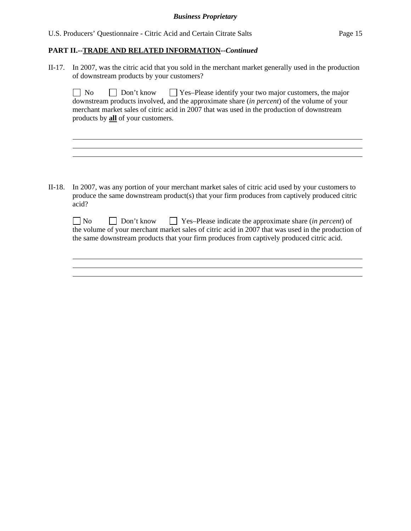l

l

II-17. In 2007, was the citric acid that you sold in the merchant market generally used in the production of downstream products by your customers?

 $\Box$  No  $\Box$  Don't know  $\Box$  Yes–Please identify your two major customers, the major downstream products involved, and the approximate share (*in percent*) of the volume of your merchant market sales of citric acid in 2007 that was used in the production of downstream products by **all** of your customers.

II-18. In 2007, was any portion of your merchant market sales of citric acid used by your customers to produce the same downstream product(s) that your firm produces from captively produced citric acid?

| $\Box$ No | Don't know | $\Box$ Yes-Please indicate the approximate share (in percent) of                                   |
|-----------|------------|----------------------------------------------------------------------------------------------------|
|           |            | the volume of your merchant market sales of citric acid in 2007 that was used in the production of |
|           |            | the same downstream products that your firm produces from captively produced citric acid.          |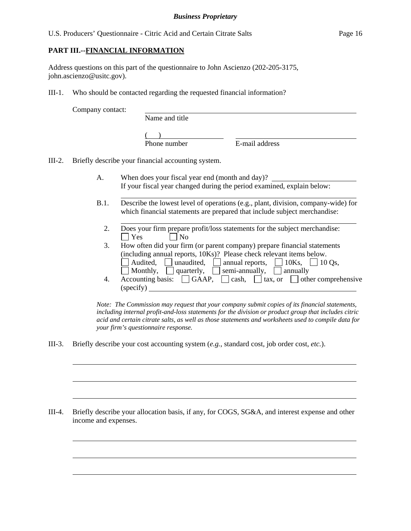## **PART III.--FINANCIAL INFORMATION**

Address questions on this part of the questionnaire to John Ascienzo (202-205-3175, john.ascienzo@usitc.gov).

III-1. Who should be contacted regarding the requested financial information?

Company contact:

l

 $\overline{a}$ 

 $\overline{a}$ 

 $\overline{a}$ 

 $\overline{a}$ 

 $\overline{a}$ 

Name and title

 $($ 

Phone number E-mail address

III-2. Briefly describe your financial accounting system.

l

- A. When does your fiscal year end (month and day)? If your fiscal year changed during the period examined, explain below:
- B.1. Describe the lowest level of operations (e.g., plant, division, company-wide) for which financial statements are prepared that include subject merchandise:
	- l 2. Does your firm prepare profit/loss statements for the subject merchandise:  $\Box$  Yes  $\Box$  No
	- 3. How often did your firm (or parent company) prepare financial statements (including annual reports, 10Ks)? Please check relevant items below. Audited, <u>I</u> unaudited,  $\Box$  annual reports,  $\Box$  10Ks,  $\Box$  10 Qs, Monthly,  $\Box$  quarterly,  $\Box$  semi-annually,  $\Box$  annually
	- 4. Accounting basis:  $\Box$  GAAP,  $\Box$  cash,  $\Box$  tax, or  $\Box$  other comprehensive (specify)

*Note: The Commission may request that your company submit copies of its financial statements, including internal profit-and-loss statements for the division or product group that includes citric acid and certain citrate salts, as well as those statements and worksheets used to compile data for your firm's questionnaire response.* 

III-3. Briefly describe your cost accounting system (*e.g.*, standard cost, job order cost, *etc.*).

III-4. Briefly describe your allocation basis, if any, for COGS, SG&A, and interest expense and other income and expenses.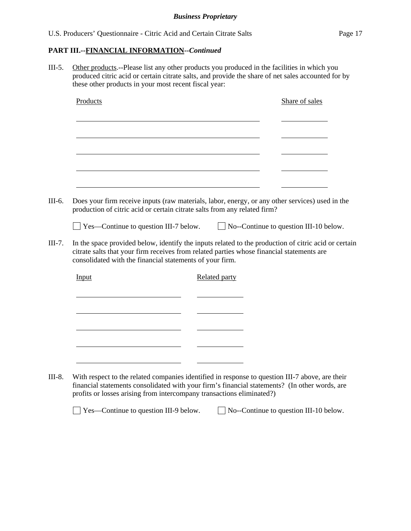III-5. Other products.--Please list any other products you produced in the facilities in which you produced citric acid or certain citrate salts, and provide the share of net sales accounted for by these other products in your most recent fiscal year:

| Input |  |                                              |                                                                                  |                                                                           |                                                                                                                                                                                                                                                                                                                                                       |
|-------|--|----------------------------------------------|----------------------------------------------------------------------------------|---------------------------------------------------------------------------|-------------------------------------------------------------------------------------------------------------------------------------------------------------------------------------------------------------------------------------------------------------------------------------------------------------------------------------------------------|
|       |  |                                              |                                                                                  |                                                                           |                                                                                                                                                                                                                                                                                                                                                       |
|       |  |                                              |                                                                                  |                                                                           |                                                                                                                                                                                                                                                                                                                                                       |
|       |  |                                              |                                                                                  |                                                                           |                                                                                                                                                                                                                                                                                                                                                       |
|       |  |                                              |                                                                                  |                                                                           |                                                                                                                                                                                                                                                                                                                                                       |
|       |  |                                              |                                                                                  |                                                                           |                                                                                                                                                                                                                                                                                                                                                       |
|       |  |                                              |                                                                                  |                                                                           |                                                                                                                                                                                                                                                                                                                                                       |
|       |  | $\Box$ Yes—Continue to question III-7 below. | consolidated with the financial statements of your firm.<br><b>Related party</b> | production of citric acid or certain citrate salts from any related firm? | Does your firm receive inputs (raw materials, labor, energy, or any other services) used in the<br>$\Box$ No--Continue to question III-10 below.<br>In the space provided below, identify the inputs related to the production of citric acid or certain<br>citrate salts that your firm receives from related parties whose financial statements are |

financial statements consolidated with your firm's financial statements? (In other words, are profits or losses arising from intercompany transactions eliminated?)

□ Yes—Continue to question III-9 below. □ No--Continue to question III-10 below.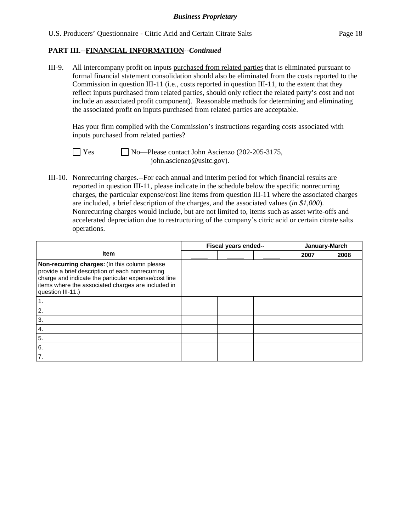III-9. All intercompany profit on inputs purchased from related parties that is eliminated pursuant to formal financial statement consolidation should also be eliminated from the costs reported to the Commission in question III-11 (i.e., costs reported in question III-11, to the extent that they reflect inputs purchased from related parties, should only reflect the related party's cost and not include an associated profit component). Reasonable methods for determining and eliminating the associated profit on inputs purchased from related parties are acceptable.

 Has your firm complied with the Commission's instructions regarding costs associated with inputs purchased from related parties?

 $\Box$  Yes  $\Box$  No—Please contact John Ascienzo (202-205-3175, john.ascienzo@usitc.gov).

III-10. Nonrecurring charges.--For each annual and interim period for which financial results are reported in question III-11, please indicate in the schedule below the specific nonrecurring charges, the particular expense/cost line items from question III-11 where the associated charges are included, a brief description of the charges, and the associated values (*in \$1,000*). Nonrecurring charges would include, but are not limited to, items such as asset write-offs and accelerated depreciation due to restructuring of the company's citric acid or certain citrate salts operations.

|                                                                                                                                                                                                                                      | Fiscal years ended-- |  | January-March |      |      |
|--------------------------------------------------------------------------------------------------------------------------------------------------------------------------------------------------------------------------------------|----------------------|--|---------------|------|------|
| <b>Item</b>                                                                                                                                                                                                                          |                      |  |               | 2007 | 2008 |
| Non-recurring charges: (In this column please<br>provide a brief description of each nonrecurring<br>charge and indicate the particular expense/cost line<br>items where the associated charges are included in<br>question III-11.) |                      |  |               |      |      |
|                                                                                                                                                                                                                                      |                      |  |               |      |      |
| 2.                                                                                                                                                                                                                                   |                      |  |               |      |      |
| 3.                                                                                                                                                                                                                                   |                      |  |               |      |      |
| $\boldsymbol{4}$ .                                                                                                                                                                                                                   |                      |  |               |      |      |
| 5.                                                                                                                                                                                                                                   |                      |  |               |      |      |
| 6.                                                                                                                                                                                                                                   |                      |  |               |      |      |
| 7.                                                                                                                                                                                                                                   |                      |  |               |      |      |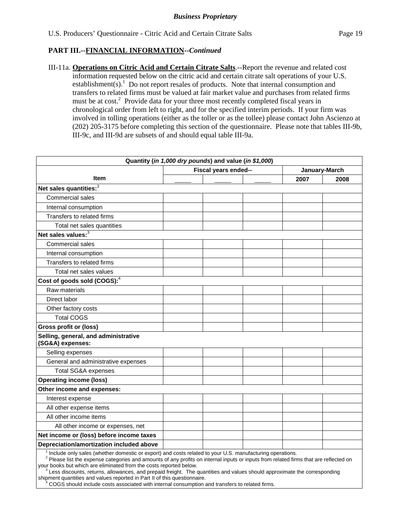III-11a. **Operations on Citric Acid and Certain Citrate Salts**.--Report the revenue and related cost information requested below on the citric acid and certain citrate salt operations of your U.S. establishment(s).<sup>1</sup> Do not report resales of products. Note that internal consumption and transfers to related firms must be valued at fair market value and purchases from related firms must be at cost.<sup>2</sup> Provide data for your three most recently completed fiscal years in chronological order from left to right, and for the specified interim periods. If your firm was involved in tolling operations (either as the toller or as the tollee) please contact John Ascienzo at (202) 205-3175 before completing this section of the questionnaire. Please note that tables III-9b, III-9c, and III-9d are subsets of and should equal table III-9a.

| Quantity (in 1,000 dry pounds) and value (in \$1,000)                                                    |                      |  |      |               |  |  |  |  |
|----------------------------------------------------------------------------------------------------------|----------------------|--|------|---------------|--|--|--|--|
|                                                                                                          | Fiscal years ended-- |  |      | January-March |  |  |  |  |
| <b>Item</b>                                                                                              |                      |  | 2007 | 2008          |  |  |  |  |
| Net sales quantities: <sup>3</sup>                                                                       |                      |  |      |               |  |  |  |  |
| Commercial sales                                                                                         |                      |  |      |               |  |  |  |  |
| Internal consumption                                                                                     |                      |  |      |               |  |  |  |  |
| Transfers to related firms                                                                               |                      |  |      |               |  |  |  |  |
| Total net sales quantities                                                                               |                      |  |      |               |  |  |  |  |
| Net sales values: $3$                                                                                    |                      |  |      |               |  |  |  |  |
| Commercial sales                                                                                         |                      |  |      |               |  |  |  |  |
| Internal consumption                                                                                     |                      |  |      |               |  |  |  |  |
| Transfers to related firms                                                                               |                      |  |      |               |  |  |  |  |
| Total net sales values                                                                                   |                      |  |      |               |  |  |  |  |
| Cost of goods sold (COGS): $4$                                                                           |                      |  |      |               |  |  |  |  |
| Raw materials                                                                                            |                      |  |      |               |  |  |  |  |
| Direct labor                                                                                             |                      |  |      |               |  |  |  |  |
| Other factory costs                                                                                      |                      |  |      |               |  |  |  |  |
| <b>Total COGS</b>                                                                                        |                      |  |      |               |  |  |  |  |
| <b>Gross profit or (loss)</b>                                                                            |                      |  |      |               |  |  |  |  |
| Selling, general, and administrative<br>(SG&A) expenses:                                                 |                      |  |      |               |  |  |  |  |
| Selling expenses                                                                                         |                      |  |      |               |  |  |  |  |
| General and administrative expenses                                                                      |                      |  |      |               |  |  |  |  |
| <b>Total SG&amp;A expenses</b>                                                                           |                      |  |      |               |  |  |  |  |
| <b>Operating income (loss)</b>                                                                           |                      |  |      |               |  |  |  |  |
| Other income and expenses:                                                                               |                      |  |      |               |  |  |  |  |
| Interest expense                                                                                         |                      |  |      |               |  |  |  |  |
| All other expense items                                                                                  |                      |  |      |               |  |  |  |  |
| All other income items                                                                                   |                      |  |      |               |  |  |  |  |
| All other income or expenses, net                                                                        |                      |  |      |               |  |  |  |  |
| Net income or (loss) before income taxes                                                                 |                      |  |      |               |  |  |  |  |
| Depreciation/amortization included above                                                                 |                      |  |      |               |  |  |  |  |
| Include only sales (whether domestic or export) and costs related to your U.S. manufacturing operations. |                      |  |      |               |  |  |  |  |

<sup>1</sup> Include only sales (whether domestic or export) and costs related to your U.S. manufacturing operations.<br><sup>2</sup> Please list the expense categories and amounts of any profits on internal inputs or inputs from related firms your books but which are eliminated from the costs reported below.

 $\frac{3}{2}$ Less discounts, returns, allowances, and prepaid freight. The quantities and values should approximate the corresponding shipment quantities and values reported in Part II of this questionnaire.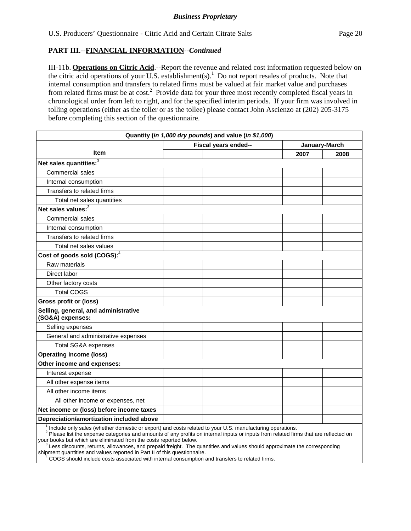III-11b. **Operations on Citric Acid**.--Report the revenue and related cost information requested below on the citric acid operations of your U.S. establishment(s).<sup>1</sup> Do not report resales of products. Note that internal consumption and transfers to related firms must be valued at fair market value and purchases from related firms must be at cost.<sup>2</sup> Provide data for your three most recently completed fiscal years in chronological order from left to right, and for the specified interim periods. If your firm was involved in tolling operations (either as the toller or as the tollee) please contact John Ascienzo at (202) 205-3175 before completing this section of the questionnaire.

| Quantity (in 1,000 dry pounds) and value (in \$1,000)    |                      |               |      |  |  |  |  |
|----------------------------------------------------------|----------------------|---------------|------|--|--|--|--|
|                                                          | Fiscal years ended-- | January-March |      |  |  |  |  |
| Item                                                     |                      | 2007          | 2008 |  |  |  |  |
| Net sales quantities: <sup>3</sup>                       |                      |               |      |  |  |  |  |
| Commercial sales                                         |                      |               |      |  |  |  |  |
| Internal consumption                                     |                      |               |      |  |  |  |  |
| Transfers to related firms                               |                      |               |      |  |  |  |  |
| Total net sales quantities                               |                      |               |      |  |  |  |  |
| Net sales values: $3$                                    |                      |               |      |  |  |  |  |
| Commercial sales                                         |                      |               |      |  |  |  |  |
| Internal consumption                                     |                      |               |      |  |  |  |  |
| Transfers to related firms                               |                      |               |      |  |  |  |  |
| Total net sales values                                   |                      |               |      |  |  |  |  |
| Cost of goods sold (COGS): <sup>4</sup>                  |                      |               |      |  |  |  |  |
| Raw materials                                            |                      |               |      |  |  |  |  |
| Direct labor                                             |                      |               |      |  |  |  |  |
| Other factory costs                                      |                      |               |      |  |  |  |  |
| <b>Total COGS</b>                                        |                      |               |      |  |  |  |  |
| <b>Gross profit or (loss)</b>                            |                      |               |      |  |  |  |  |
| Selling, general, and administrative<br>(SG&A) expenses: |                      |               |      |  |  |  |  |
| Selling expenses                                         |                      |               |      |  |  |  |  |
| General and administrative expenses                      |                      |               |      |  |  |  |  |
| Total SG&A expenses                                      |                      |               |      |  |  |  |  |
| <b>Operating income (loss)</b>                           |                      |               |      |  |  |  |  |
| Other income and expenses:                               |                      |               |      |  |  |  |  |
| Interest expense                                         |                      |               |      |  |  |  |  |
| All other expense items                                  |                      |               |      |  |  |  |  |
| All other income items                                   |                      |               |      |  |  |  |  |
| All other income or expenses, net                        |                      |               |      |  |  |  |  |
| Net income or (loss) before income taxes                 |                      |               |      |  |  |  |  |
| Depreciation/amortization included above                 |                      |               |      |  |  |  |  |

 <sup>2</sup> Please list the expense categories and amounts of any profits on internal inputs or inputs from related firms that are reflected on

your books but which are eliminated from the costs reported below.

 $\frac{3}{2}$ Less discounts, returns, allowances, and prepaid freight. The quantities and values should approximate the corresponding shipment quantities and values reported in Part II of this questionnaire.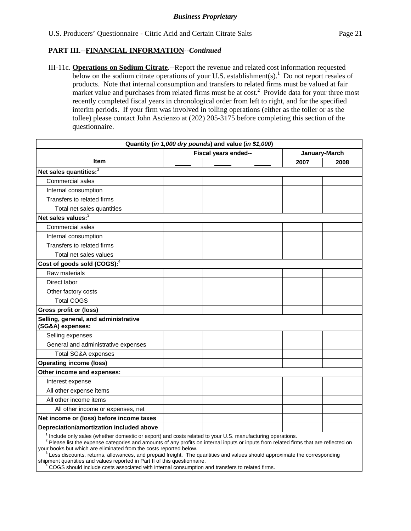III-11c. **Operations on Sodium Citrate**.--Report the revenue and related cost information requested below on the sodium citrate operations of your U.S. establishment(s).<sup>1</sup> Do not report resales of products. Note that internal consumption and transfers to related firms must be valued at fair market value and purchases from related firms must be at  $cost^2$ . Provide data for your three most recently completed fiscal years in chronological order from left to right, and for the specified interim periods. If your firm was involved in tolling operations (either as the toller or as the tollee) please contact John Ascienzo at (202) 205-3175 before completing this section of the questionnaire.

| Quantity (in 1,000 dry pounds) and value (in \$1,000)    |                      |      |               |  |  |  |  |
|----------------------------------------------------------|----------------------|------|---------------|--|--|--|--|
|                                                          | Fiscal years ended-- |      | January-March |  |  |  |  |
| Item                                                     |                      | 2007 | 2008          |  |  |  |  |
| Net sales quantities: <sup>3</sup>                       |                      |      |               |  |  |  |  |
| Commercial sales                                         |                      |      |               |  |  |  |  |
| Internal consumption                                     |                      |      |               |  |  |  |  |
| Transfers to related firms                               |                      |      |               |  |  |  |  |
| Total net sales quantities                               |                      |      |               |  |  |  |  |
| Net sales values: <sup>3</sup>                           |                      |      |               |  |  |  |  |
| Commercial sales                                         |                      |      |               |  |  |  |  |
| Internal consumption                                     |                      |      |               |  |  |  |  |
| Transfers to related firms                               |                      |      |               |  |  |  |  |
| Total net sales values                                   |                      |      |               |  |  |  |  |
| Cost of goods sold (COGS): <sup>4</sup>                  |                      |      |               |  |  |  |  |
| Raw materials                                            |                      |      |               |  |  |  |  |
| Direct labor                                             |                      |      |               |  |  |  |  |
| Other factory costs                                      |                      |      |               |  |  |  |  |
| <b>Total COGS</b>                                        |                      |      |               |  |  |  |  |
| <b>Gross profit or (loss)</b>                            |                      |      |               |  |  |  |  |
| Selling, general, and administrative<br>(SG&A) expenses: |                      |      |               |  |  |  |  |
| Selling expenses                                         |                      |      |               |  |  |  |  |
| General and administrative expenses                      |                      |      |               |  |  |  |  |
| <b>Total SG&amp;A expenses</b>                           |                      |      |               |  |  |  |  |
| <b>Operating income (loss)</b>                           |                      |      |               |  |  |  |  |
| Other income and expenses:                               |                      |      |               |  |  |  |  |
| Interest expense                                         |                      |      |               |  |  |  |  |
| All other expense items                                  |                      |      |               |  |  |  |  |
| All other income items                                   |                      |      |               |  |  |  |  |
| All other income or expenses, net                        |                      |      |               |  |  |  |  |
| Net income or (loss) before income taxes                 |                      |      |               |  |  |  |  |
| Depreciation/amortization included above                 |                      |      |               |  |  |  |  |

 <sup>2</sup> Please list the expense categories and amounts of any profits on internal inputs or inputs from related firms that are reflected on your books but which are eliminated from the costs reported below.

 $3$  Less discounts, returns, allowances, and prepaid freight. The quantities and values should approximate the corresponding shipment quantities and values reported in Part II of this questionnaire.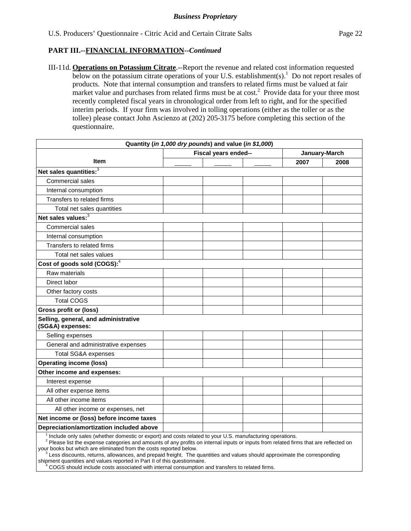III-11d. **Operations on Potassium Citrate**.--Report the revenue and related cost information requested below on the potassium citrate operations of your U.S. establishment(s).<sup>1</sup> Do not report resales of products. Note that internal consumption and transfers to related firms must be valued at fair market value and purchases from related firms must be at  $cost^2$ . Provide data for your three most recently completed fiscal years in chronological order from left to right, and for the specified interim periods. If your firm was involved in tolling operations (either as the toller or as the tollee) please contact John Ascienzo at (202) 205-3175 before completing this section of the questionnaire.

| Quantity (in 1,000 dry pounds) and value (in \$1,000)                                                    |                                 |               |      |      |  |  |  |
|----------------------------------------------------------------------------------------------------------|---------------------------------|---------------|------|------|--|--|--|
|                                                                                                          | Fiscal years ended--            | January-March |      |      |  |  |  |
| <b>Item</b>                                                                                              |                                 |               | 2007 | 2008 |  |  |  |
| Net sales quantities: <sup>3</sup>                                                                       |                                 |               |      |      |  |  |  |
| Commercial sales                                                                                         |                                 |               |      |      |  |  |  |
| Internal consumption                                                                                     |                                 |               |      |      |  |  |  |
| Transfers to related firms                                                                               |                                 |               |      |      |  |  |  |
| Total net sales quantities                                                                               |                                 |               |      |      |  |  |  |
| Net sales values: <sup>3</sup>                                                                           |                                 |               |      |      |  |  |  |
| <b>Commercial sales</b>                                                                                  |                                 |               |      |      |  |  |  |
| Internal consumption                                                                                     |                                 |               |      |      |  |  |  |
| Transfers to related firms                                                                               |                                 |               |      |      |  |  |  |
| Total net sales values                                                                                   |                                 |               |      |      |  |  |  |
| Cost of goods sold (COGS): <sup>4</sup>                                                                  |                                 |               |      |      |  |  |  |
| Raw materials                                                                                            |                                 |               |      |      |  |  |  |
| Direct labor                                                                                             |                                 |               |      |      |  |  |  |
| Other factory costs                                                                                      |                                 |               |      |      |  |  |  |
| <b>Total COGS</b>                                                                                        |                                 |               |      |      |  |  |  |
| <b>Gross profit or (loss)</b>                                                                            |                                 |               |      |      |  |  |  |
| Selling, general, and administrative<br>(SG&A) expenses:                                                 |                                 |               |      |      |  |  |  |
| Selling expenses                                                                                         |                                 |               |      |      |  |  |  |
| General and administrative expenses                                                                      |                                 |               |      |      |  |  |  |
| <b>Total SG&amp;A expenses</b>                                                                           |                                 |               |      |      |  |  |  |
| <b>Operating income (loss)</b>                                                                           |                                 |               |      |      |  |  |  |
| Other income and expenses:                                                                               |                                 |               |      |      |  |  |  |
| Interest expense                                                                                         |                                 |               |      |      |  |  |  |
| All other expense items                                                                                  |                                 |               |      |      |  |  |  |
| All other income items                                                                                   |                                 |               |      |      |  |  |  |
| All other income or expenses, net                                                                        |                                 |               |      |      |  |  |  |
| Net income or (loss) before income taxes                                                                 |                                 |               |      |      |  |  |  |
| Depreciation/amortization included above                                                                 |                                 |               |      |      |  |  |  |
| Include only sales (whether domestic or export) and costs related to your U.S. manufacturing operations. | and a formation of the constant |               |      |      |  |  |  |

 <sup>2</sup> Please list the expense categories and amounts of any profits on internal inputs or inputs from related firms that are reflected on your books but which are eliminated from the costs reported below.

 $3$  Less discounts, returns, allowances, and prepaid freight. The quantities and values should approximate the corresponding shipment quantities and values reported in Part II of this questionnaire.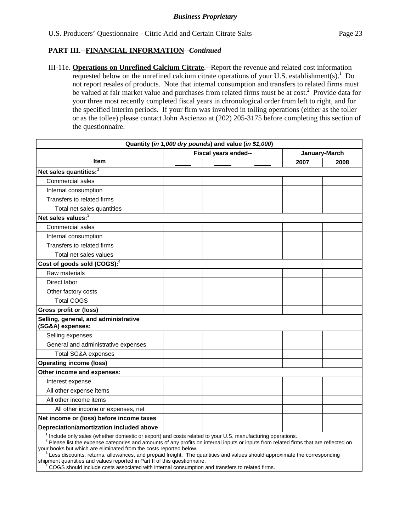III-11e. **Operations on Unrefined Calcium Citrate**.--Report the revenue and related cost information requested below on the unrefined calcium citrate operations of your U.S. establishment(s).<sup>1</sup> Do not report resales of products. Note that internal consumption and transfers to related firms must be valued at fair market value and purchases from related firms must be at cost.<sup>2</sup> Provide data for your three most recently completed fiscal years in chronological order from left to right, and for the specified interim periods. If your firm was involved in tolling operations (either as the toller or as the tollee) please contact John Ascienzo at (202) 205-3175 before completing this section of the questionnaire.

| Quantity (in 1,000 dry pounds) and value (in \$1,000)                                                    |                                                                                                                                                          |      |               |  |  |  |  |
|----------------------------------------------------------------------------------------------------------|----------------------------------------------------------------------------------------------------------------------------------------------------------|------|---------------|--|--|--|--|
|                                                                                                          | Fiscal years ended--                                                                                                                                     |      | January-March |  |  |  |  |
| <b>Item</b>                                                                                              |                                                                                                                                                          | 2007 | 2008          |  |  |  |  |
| Net sales quantities: <sup>3</sup>                                                                       |                                                                                                                                                          |      |               |  |  |  |  |
| Commercial sales                                                                                         |                                                                                                                                                          |      |               |  |  |  |  |
| Internal consumption                                                                                     |                                                                                                                                                          |      |               |  |  |  |  |
| Transfers to related firms                                                                               |                                                                                                                                                          |      |               |  |  |  |  |
| Total net sales quantities                                                                               |                                                                                                                                                          |      |               |  |  |  |  |
| Net sales values: <sup>3</sup>                                                                           |                                                                                                                                                          |      |               |  |  |  |  |
| Commercial sales                                                                                         |                                                                                                                                                          |      |               |  |  |  |  |
| Internal consumption                                                                                     |                                                                                                                                                          |      |               |  |  |  |  |
| Transfers to related firms                                                                               |                                                                                                                                                          |      |               |  |  |  |  |
| Total net sales values                                                                                   |                                                                                                                                                          |      |               |  |  |  |  |
| Cost of goods sold (COGS): <sup>4</sup>                                                                  |                                                                                                                                                          |      |               |  |  |  |  |
| Raw materials                                                                                            |                                                                                                                                                          |      |               |  |  |  |  |
| Direct labor                                                                                             |                                                                                                                                                          |      |               |  |  |  |  |
| Other factory costs                                                                                      |                                                                                                                                                          |      |               |  |  |  |  |
| <b>Total COGS</b>                                                                                        |                                                                                                                                                          |      |               |  |  |  |  |
| <b>Gross profit or (loss)</b>                                                                            |                                                                                                                                                          |      |               |  |  |  |  |
| Selling, general, and administrative<br>(SG&A) expenses:                                                 |                                                                                                                                                          |      |               |  |  |  |  |
| Selling expenses                                                                                         |                                                                                                                                                          |      |               |  |  |  |  |
| General and administrative expenses                                                                      |                                                                                                                                                          |      |               |  |  |  |  |
| <b>Total SG&amp;A expenses</b>                                                                           |                                                                                                                                                          |      |               |  |  |  |  |
| <b>Operating income (loss)</b>                                                                           |                                                                                                                                                          |      |               |  |  |  |  |
| Other income and expenses:                                                                               |                                                                                                                                                          |      |               |  |  |  |  |
| Interest expense                                                                                         |                                                                                                                                                          |      |               |  |  |  |  |
| All other expense items                                                                                  |                                                                                                                                                          |      |               |  |  |  |  |
| All other income items                                                                                   |                                                                                                                                                          |      |               |  |  |  |  |
| All other income or expenses, net                                                                        |                                                                                                                                                          |      |               |  |  |  |  |
| Net income or (loss) before income taxes                                                                 |                                                                                                                                                          |      |               |  |  |  |  |
| Depreciation/amortization included above                                                                 |                                                                                                                                                          |      |               |  |  |  |  |
| Include only sales (whether domestic or export) and costs related to your U.S. manufacturing operations. | and a contract and contract and the contract of the contract of the contract of the contract of the contract of<br>والمتوارث والمتواطئ والمتحال المتوارد |      |               |  |  |  |  |

 <sup>2</sup> Please list the expense categories and amounts of any profits on internal inputs or inputs from related firms that are reflected on your books but which are eliminated from the costs reported below.

 $3$  Less discounts, returns, allowances, and prepaid freight. The quantities and values should approximate the corresponding shipment quantities and values reported in Part II of this questionnaire.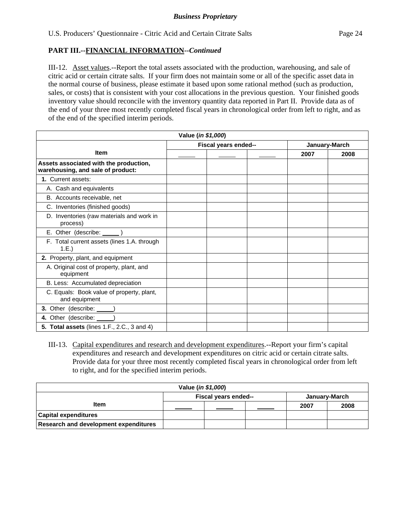III-12. Asset values.--Report the total assets associated with the production, warehousing, and sale of citric acid or certain citrate salts. If your firm does not maintain some or all of the specific asset data in the normal course of business, please estimate it based upon some rational method (such as production, sales, or costs) that is consistent with your cost allocations in the previous question. Your finished goods inventory value should reconcile with the inventory quantity data reported in Part II. Provide data as of the end of your three most recently completed fiscal years in chronological order from left to right, and as of the end of the specified interim periods.

| Value (in \$1,000)                                                          |  |                      |  |               |      |  |  |
|-----------------------------------------------------------------------------|--|----------------------|--|---------------|------|--|--|
|                                                                             |  | Fiscal years ended-- |  | January-March |      |  |  |
| <b>Item</b>                                                                 |  |                      |  | 2007          | 2008 |  |  |
| Assets associated with the production,<br>warehousing, and sale of product: |  |                      |  |               |      |  |  |
| 1. Current assets:                                                          |  |                      |  |               |      |  |  |
| A. Cash and equivalents                                                     |  |                      |  |               |      |  |  |
| B. Accounts receivable, net                                                 |  |                      |  |               |      |  |  |
| C. Inventories (finished goods)                                             |  |                      |  |               |      |  |  |
| D. Inventories (raw materials and work in<br>process)                       |  |                      |  |               |      |  |  |
| E. Other (describe: _______)                                                |  |                      |  |               |      |  |  |
| F. Total current assets (lines 1.A. through<br>1.E.)                        |  |                      |  |               |      |  |  |
| 2. Property, plant, and equipment                                           |  |                      |  |               |      |  |  |
| A. Original cost of property, plant, and<br>equipment                       |  |                      |  |               |      |  |  |
| B. Less: Accumulated depreciation                                           |  |                      |  |               |      |  |  |
| C. Equals: Book value of property, plant,<br>and equipment                  |  |                      |  |               |      |  |  |
| 3. Other (describe: _____)                                                  |  |                      |  |               |      |  |  |
| 4. Other (describe: ______)                                                 |  |                      |  |               |      |  |  |
| <b>5. Total assets</b> (lines 1.F., 2.C., 3 and 4)                          |  |                      |  |               |      |  |  |

III-13. Capital expenditures and research and development expenditures.--Report your firm's capital expenditures and research and development expenditures on citric acid or certain citrate salts. Provide data for your three most recently completed fiscal years in chronological order from left to right, and for the specified interim periods.

| Value (in \$1,000)                           |                                       |  |  |      |      |  |  |  |
|----------------------------------------------|---------------------------------------|--|--|------|------|--|--|--|
|                                              | Fiscal years ended--<br>January-March |  |  |      |      |  |  |  |
| <b>Item</b>                                  |                                       |  |  | 2007 | 2008 |  |  |  |
| <b>Capital expenditures</b>                  |                                       |  |  |      |      |  |  |  |
| <b>Research and development expenditures</b> |                                       |  |  |      |      |  |  |  |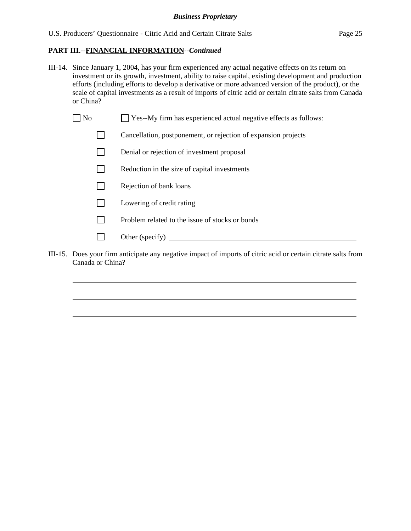- III-14. Since January 1, 2004, has your firm experienced any actual negative effects on its return on investment or its growth, investment, ability to raise capital, existing development and production efforts (including efforts to develop a derivative or more advanced version of the product), or the scale of capital investments as a result of imports of citric acid or certain citrate salts from Canada or China?
	- No Ses-My firm has experienced actual negative effects as follows:
		- Cancellation, postponement, or rejection of expansion projects
		- Denial or rejection of investment proposal
		- $\Box$  Reduction in the size of capital investments
		- $\Box$  Rejection of bank loans
		- **Lowering of credit rating**

 $\overline{a}$ 

 $\overline{a}$ 

 $\overline{a}$ 

- $\n$  Problem related to the issue of stocks or bonds
- Other (specify)
- III-15. Does your firm anticipate any negative impact of imports of citric acid or certain citrate salts from Canada or China?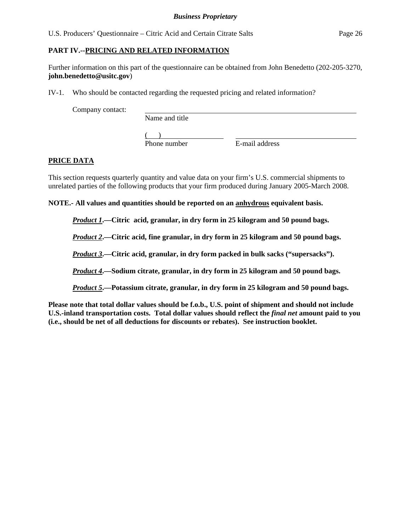# **PART IV.--PRICING AND RELATED INFORMATION**

Further information on this part of the questionnaire can be obtained from John Benedetto (202-205-3270, **john.benedetto@usitc.gov**)

IV-1. Who should be contacted regarding the requested pricing and related information?

Company contact:

Name and title

 $($ Phone number E-mail address

# **PRICE DATA**

This section requests quarterly quantity and value data on your firm's U.S. commercial shipments to unrelated parties of the following products that your firm produced during January 2005-March 2008.

**NOTE.- All values and quantities should be reported on an anhydrous equivalent basis.** 

*Product 1***.—Citric acid, granular, in dry form in 25 kilogram and 50 pound bags.** 

*Product 2***.—Citric acid, fine granular, in dry form in 25 kilogram and 50 pound bags.** 

*Product 3***.—Citric acid, granular, in dry form packed in bulk sacks ("supersacks").** 

*Product 4***.—Sodium citrate, granular, in dry form in 25 kilogram and 50 pound bags.** 

*Product 5***.—Potassium citrate, granular, in dry form in 25 kilogram and 50 pound bags.** 

**Please note that total dollar values should be f.o.b., U.S. point of shipment and should not include U.S.-inland transportation costs. Total dollar values should reflect the** *final net* **amount paid to you (i.e., should be net of all deductions for discounts or rebates). See instruction booklet.**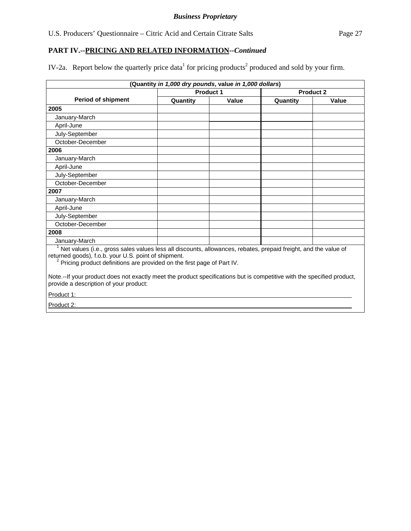IV-2a. Report below the quarterly price data<sup>1</sup> for pricing products<sup>2</sup> produced and sold by your firm.

| (Quantity in 1,000 dry pounds, value in 1,000 dollars)                                                                                                                                                                                                         |           |       |          |                  |  |  |  |  |
|----------------------------------------------------------------------------------------------------------------------------------------------------------------------------------------------------------------------------------------------------------------|-----------|-------|----------|------------------|--|--|--|--|
|                                                                                                                                                                                                                                                                | Product 1 |       |          | <b>Product 2</b> |  |  |  |  |
| <b>Period of shipment</b>                                                                                                                                                                                                                                      | Quantity  | Value | Quantity | <b>Value</b>     |  |  |  |  |
| 2005                                                                                                                                                                                                                                                           |           |       |          |                  |  |  |  |  |
| January-March                                                                                                                                                                                                                                                  |           |       |          |                  |  |  |  |  |
| April-June                                                                                                                                                                                                                                                     |           |       |          |                  |  |  |  |  |
| July-September                                                                                                                                                                                                                                                 |           |       |          |                  |  |  |  |  |
| October-December                                                                                                                                                                                                                                               |           |       |          |                  |  |  |  |  |
| 2006                                                                                                                                                                                                                                                           |           |       |          |                  |  |  |  |  |
| January-March                                                                                                                                                                                                                                                  |           |       |          |                  |  |  |  |  |
| April-June                                                                                                                                                                                                                                                     |           |       |          |                  |  |  |  |  |
| July-September                                                                                                                                                                                                                                                 |           |       |          |                  |  |  |  |  |
| October-December                                                                                                                                                                                                                                               |           |       |          |                  |  |  |  |  |
| 2007                                                                                                                                                                                                                                                           |           |       |          |                  |  |  |  |  |
| January-March                                                                                                                                                                                                                                                  |           |       |          |                  |  |  |  |  |
| April-June                                                                                                                                                                                                                                                     |           |       |          |                  |  |  |  |  |
| July-September                                                                                                                                                                                                                                                 |           |       |          |                  |  |  |  |  |
| October-December                                                                                                                                                                                                                                               |           |       |          |                  |  |  |  |  |
| 2008                                                                                                                                                                                                                                                           |           |       |          |                  |  |  |  |  |
| January-March                                                                                                                                                                                                                                                  |           |       |          |                  |  |  |  |  |
| Net values (i.e., gross sales values less all discounts, allowances, rebates, prepaid freight, and the value of<br>returned goods), f.o.b. your U.S. point of shipment.<br><sup>2</sup> Pricing product definitions are provided on the first page of Part IV. |           |       |          |                  |  |  |  |  |
| Note.--If your product does not exactly meet the product specifications but is competitive with the specified product,<br>provide a description of your product:                                                                                               |           |       |          |                  |  |  |  |  |
| Product 1:                                                                                                                                                                                                                                                     |           |       |          |                  |  |  |  |  |
| Product 2:                                                                                                                                                                                                                                                     |           |       |          |                  |  |  |  |  |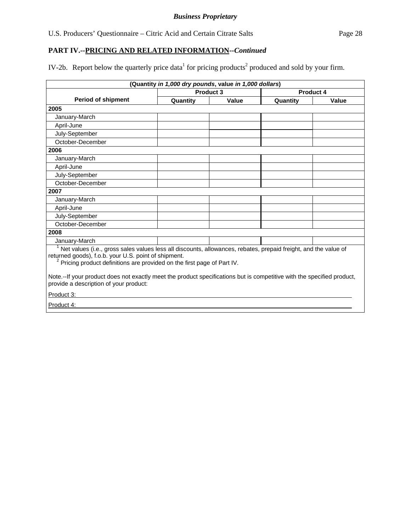IV-2b. Report below the quarterly price data<sup>1</sup> for pricing products<sup>2</sup> produced and sold by your firm.

| (Quantity in 1,000 dry pounds, value in 1,000 dollars)                                                                                                                                                                                                         |                      |       |           |       |  |  |  |  |
|----------------------------------------------------------------------------------------------------------------------------------------------------------------------------------------------------------------------------------------------------------------|----------------------|-------|-----------|-------|--|--|--|--|
|                                                                                                                                                                                                                                                                | Product <sub>3</sub> |       | Product 4 |       |  |  |  |  |
| <b>Period of shipment</b>                                                                                                                                                                                                                                      | Quantity             | Value | Quantity  | Value |  |  |  |  |
| 2005                                                                                                                                                                                                                                                           |                      |       |           |       |  |  |  |  |
| January-March                                                                                                                                                                                                                                                  |                      |       |           |       |  |  |  |  |
| April-June                                                                                                                                                                                                                                                     |                      |       |           |       |  |  |  |  |
| July-September                                                                                                                                                                                                                                                 |                      |       |           |       |  |  |  |  |
| October-December                                                                                                                                                                                                                                               |                      |       |           |       |  |  |  |  |
| 2006                                                                                                                                                                                                                                                           |                      |       |           |       |  |  |  |  |
| January-March                                                                                                                                                                                                                                                  |                      |       |           |       |  |  |  |  |
| April-June                                                                                                                                                                                                                                                     |                      |       |           |       |  |  |  |  |
| July-September                                                                                                                                                                                                                                                 |                      |       |           |       |  |  |  |  |
| October-December                                                                                                                                                                                                                                               |                      |       |           |       |  |  |  |  |
| 2007                                                                                                                                                                                                                                                           |                      |       |           |       |  |  |  |  |
| January-March                                                                                                                                                                                                                                                  |                      |       |           |       |  |  |  |  |
| April-June                                                                                                                                                                                                                                                     |                      |       |           |       |  |  |  |  |
| July-September                                                                                                                                                                                                                                                 |                      |       |           |       |  |  |  |  |
| October-December                                                                                                                                                                                                                                               |                      |       |           |       |  |  |  |  |
| 2008                                                                                                                                                                                                                                                           |                      |       |           |       |  |  |  |  |
| January-March                                                                                                                                                                                                                                                  |                      |       |           |       |  |  |  |  |
| Net values (i.e., gross sales values less all discounts, allowances, rebates, prepaid freight, and the value of<br>returned goods), f.o.b. your U.S. point of shipment.<br><sup>2</sup> Pricing product definitions are provided on the first page of Part IV. |                      |       |           |       |  |  |  |  |
| Note.--If your product does not exactly meet the product specifications but is competitive with the specified product,<br>provide a description of your product:                                                                                               |                      |       |           |       |  |  |  |  |
| Product 3:                                                                                                                                                                                                                                                     |                      |       |           |       |  |  |  |  |
| Product 4:                                                                                                                                                                                                                                                     |                      |       |           |       |  |  |  |  |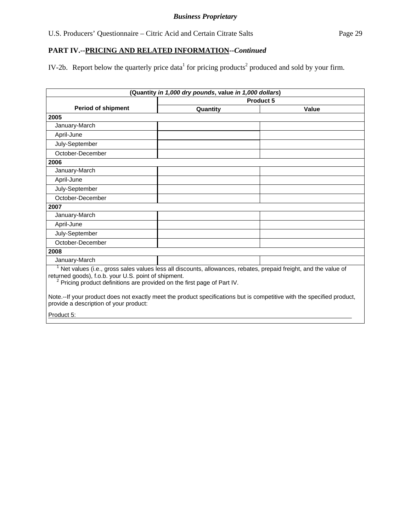IV-2b. Report below the quarterly price data<sup>1</sup> for pricing products<sup>2</sup> produced and sold by your firm.

|                                                                                                                                                                                                                                                                                                                                                                                                                       | (Quantity in 1,000 dry pounds, value in 1,000 dollars) |           |
|-----------------------------------------------------------------------------------------------------------------------------------------------------------------------------------------------------------------------------------------------------------------------------------------------------------------------------------------------------------------------------------------------------------------------|--------------------------------------------------------|-----------|
|                                                                                                                                                                                                                                                                                                                                                                                                                       |                                                        | Product 5 |
| <b>Period of shipment</b>                                                                                                                                                                                                                                                                                                                                                                                             | Quantity                                               | Value     |
| 2005                                                                                                                                                                                                                                                                                                                                                                                                                  |                                                        |           |
| January-March                                                                                                                                                                                                                                                                                                                                                                                                         |                                                        |           |
| April-June                                                                                                                                                                                                                                                                                                                                                                                                            |                                                        |           |
| July-September                                                                                                                                                                                                                                                                                                                                                                                                        |                                                        |           |
| October-December                                                                                                                                                                                                                                                                                                                                                                                                      |                                                        |           |
| 2006                                                                                                                                                                                                                                                                                                                                                                                                                  |                                                        |           |
| January-March                                                                                                                                                                                                                                                                                                                                                                                                         |                                                        |           |
| April-June                                                                                                                                                                                                                                                                                                                                                                                                            |                                                        |           |
| July-September                                                                                                                                                                                                                                                                                                                                                                                                        |                                                        |           |
| October-December                                                                                                                                                                                                                                                                                                                                                                                                      |                                                        |           |
| 2007                                                                                                                                                                                                                                                                                                                                                                                                                  |                                                        |           |
| January-March                                                                                                                                                                                                                                                                                                                                                                                                         |                                                        |           |
| April-June                                                                                                                                                                                                                                                                                                                                                                                                            |                                                        |           |
| July-September                                                                                                                                                                                                                                                                                                                                                                                                        |                                                        |           |
| October-December                                                                                                                                                                                                                                                                                                                                                                                                      |                                                        |           |
| 2008                                                                                                                                                                                                                                                                                                                                                                                                                  |                                                        |           |
| January-March                                                                                                                                                                                                                                                                                                                                                                                                         |                                                        |           |
| Net values (i.e., gross sales values less all discounts, allowances, rebates, prepaid freight, and the value of<br>returned goods), f.o.b. your U.S. point of shipment.<br>Pricing product definitions are provided on the first page of Part IV.<br>Note.--If your product does not exactly meet the product specifications but is competitive with the specified product,<br>provide a description of your product: |                                                        |           |
| Product 5:                                                                                                                                                                                                                                                                                                                                                                                                            |                                                        |           |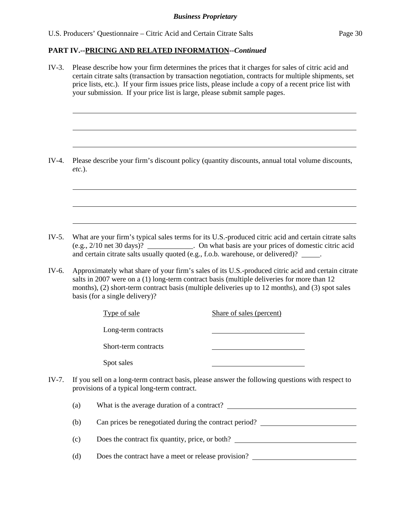l

 $\overline{a}$ 

 $\overline{a}$ 

 $\overline{a}$ 

 $\overline{a}$ 

 $\overline{a}$ 

#### **PART IV.--PRICING AND RELATED INFORMATION***--Continued*

IV-3. Please describe how your firm determines the prices that it charges for sales of citric acid and certain citrate salts (transaction by transaction negotiation, contracts for multiple shipments, set price lists, etc.). If your firm issues price lists, please include a copy of a recent price list with your submission. If your price list is large, please submit sample pages.

IV-4. Please describe your firm's discount policy (quantity discounts, annual total volume discounts, *etc.*).

IV-5. What are your firm's typical sales terms for its U.S.-produced citric acid and certain citrate salts (e.g., 2/10 net 30 days)? . On what basis are your prices of domestic citric acid and certain citrate salts usually quoted (e.g., f.o.b. warehouse, or delivered)? \_\_\_\_\_.

IV-6. Approximately what share of your firm's sales of its U.S.-produced citric acid and certain citrate salts in 2007 were on a (1) long-term contract basis (multiple deliveries for more than 12 months), (2) short-term contract basis (multiple deliveries up to 12 months), and (3) spot sales basis (for a single delivery)?

| Type of sale         | Share of sales (percent)                                                           |
|----------------------|------------------------------------------------------------------------------------|
| Long-term contracts  |                                                                                    |
| Short-term contracts |                                                                                    |
| Spot sales           |                                                                                    |
|                      | sell on a long-term contract basis, please answer the following questions with res |

IV-7. If you sell on a long-term contract basis, please answer the following questions with respect to provisions of a typical long-term contract.

(a) What is the average duration of a contract?

(b) Can prices be renegotiated during the contract period?

(c) Does the contract fix quantity, price, or both?

(d) Does the contract have a meet or release provision?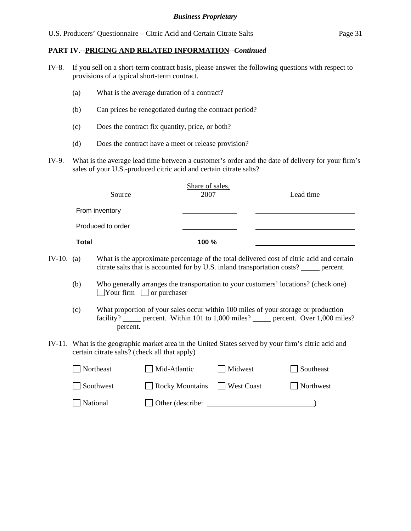| IV-8.                                                         | If you sell on a short-term contract basis, please answer the following questions with respect to<br>provisions of a typical short-term contract.                       |                   |                                                                                                                                                       |                   |                                                                                           |  |  |  |  |
|---------------------------------------------------------------|-------------------------------------------------------------------------------------------------------------------------------------------------------------------------|-------------------|-------------------------------------------------------------------------------------------------------------------------------------------------------|-------------------|-------------------------------------------------------------------------------------------|--|--|--|--|
|                                                               | (a)                                                                                                                                                                     |                   |                                                                                                                                                       |                   | What is the average duration of a contract?                                               |  |  |  |  |
| Can prices be renegotiated during the contract period?<br>(b) |                                                                                                                                                                         |                   |                                                                                                                                                       |                   |                                                                                           |  |  |  |  |
|                                                               | Does the contract fix quantity, price, or both?<br>(c)                                                                                                                  |                   |                                                                                                                                                       |                   |                                                                                           |  |  |  |  |
|                                                               | (d)                                                                                                                                                                     |                   |                                                                                                                                                       |                   | Does the contract have a meet or release provision?                                       |  |  |  |  |
| IV-9.                                                         | What is the average lead time between a customer's order and the date of delivery for your firm's<br>sales of your U.S.-produced citric acid and certain citrate salts? |                   |                                                                                                                                                       |                   |                                                                                           |  |  |  |  |
|                                                               |                                                                                                                                                                         | Source            | Share of sales,<br>2007                                                                                                                               |                   | Lead time                                                                                 |  |  |  |  |
|                                                               |                                                                                                                                                                         | From inventory    |                                                                                                                                                       |                   |                                                                                           |  |  |  |  |
|                                                               |                                                                                                                                                                         | Produced to order |                                                                                                                                                       |                   |                                                                                           |  |  |  |  |
|                                                               | <b>Total</b>                                                                                                                                                            |                   | 100 %                                                                                                                                                 |                   |                                                                                           |  |  |  |  |
| IV-10. $(a)$                                                  |                                                                                                                                                                         |                   | citrate salts that is accounted for by U.S. inland transportation costs? _____ percent.                                                               |                   | What is the approximate percentage of the total delivered cost of citric acid and certain |  |  |  |  |
|                                                               | (b)                                                                                                                                                                     |                   | Who generally arranges the transportation to your customers' locations? (check one)<br>$\Box$ Your firm $\Box$ or purchaser                           |                   |                                                                                           |  |  |  |  |
|                                                               | (c)                                                                                                                                                                     | $\equiv$ percent. | What proportion of your sales occur within 100 miles of your storage or production                                                                    |                   | facility? _____ percent. Within 101 to 1,000 miles? _____ percent. Over 1,000 miles?      |  |  |  |  |
|                                                               |                                                                                                                                                                         |                   | IV-11. What is the geographic market area in the United States served by your firm's citric acid and<br>certain citrate salts? (check all that apply) |                   |                                                                                           |  |  |  |  |
|                                                               |                                                                                                                                                                         | Northeast         | Mid-Atlantic                                                                                                                                          | Midwest           | Southeast                                                                                 |  |  |  |  |
|                                                               |                                                                                                                                                                         | Southwest         | <b>Rocky Mountains</b>                                                                                                                                | <b>West Coast</b> | Northwest                                                                                 |  |  |  |  |
|                                                               |                                                                                                                                                                         | National          | Other (describe:                                                                                                                                      |                   |                                                                                           |  |  |  |  |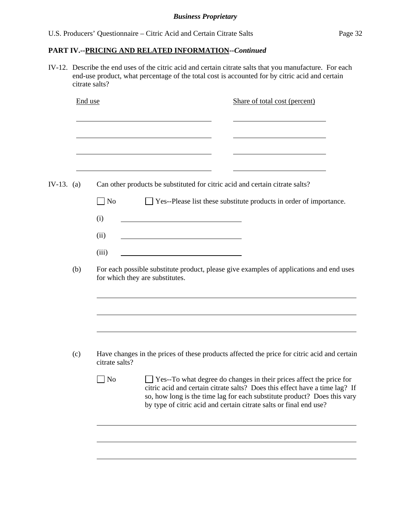IV-12. Describe the end uses of the citric acid and certain citrate salts that you manufacture. For each end-use product, what percentage of the total cost is accounted for by citric acid and certain citrate salts?

|            | End use |                   | Share of total cost (percent)                                                                                                                                                                                                                                                                               |
|------------|---------|-------------------|-------------------------------------------------------------------------------------------------------------------------------------------------------------------------------------------------------------------------------------------------------------------------------------------------------------|
|            |         |                   |                                                                                                                                                                                                                                                                                                             |
| IV-13. (a) |         |                   | Can other products be substituted for citric acid and certain citrate salts?                                                                                                                                                                                                                                |
|            |         | $\Box$ No         | $\Box$ Yes--Please list these substitute products in order of importance.                                                                                                                                                                                                                                   |
|            |         | (i)               |                                                                                                                                                                                                                                                                                                             |
|            |         | (ii)              |                                                                                                                                                                                                                                                                                                             |
|            |         | (iii)             |                                                                                                                                                                                                                                                                                                             |
|            | (b)     |                   | For each possible substitute product, please give examples of applications and end uses<br>for which they are substitutes.                                                                                                                                                                                  |
|            |         |                   |                                                                                                                                                                                                                                                                                                             |
|            |         |                   |                                                                                                                                                                                                                                                                                                             |
|            | (c)     | citrate salts?    | Have changes in the prices of these products affected the price for citric acid and certain                                                                                                                                                                                                                 |
|            |         | $\blacksquare$ No | $\Box$ Yes--To what degree do changes in their prices affect the price for<br>citric acid and certain citrate salts? Does this effect have a time lag? If<br>so, how long is the time lag for each substitute product? Does this vary<br>by type of citric acid and certain citrate salts or final end use? |
|            |         |                   |                                                                                                                                                                                                                                                                                                             |
|            |         |                   |                                                                                                                                                                                                                                                                                                             |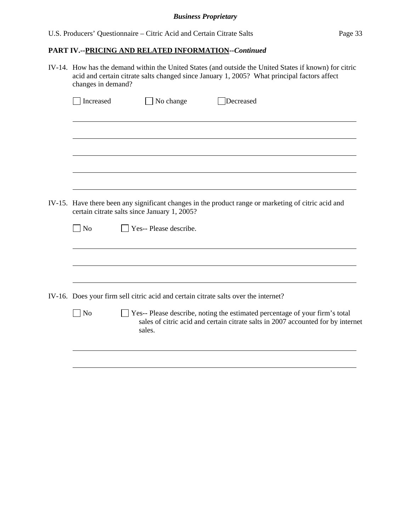#### *Business Proprietary*

# **PART IV.--PRICING AND RELATED INFORMATION***--Continued*

IV-14. How has the demand within the United States (and outside the United States if known) for citric acid and certain citrate salts changed since January 1, 2005? What principal factors affect changes in demand?

| Increased      | No change                                                                           | Decreased                                                                                                                                                         |
|----------------|-------------------------------------------------------------------------------------|-------------------------------------------------------------------------------------------------------------------------------------------------------------------|
|                |                                                                                     |                                                                                                                                                                   |
|                |                                                                                     |                                                                                                                                                                   |
|                |                                                                                     |                                                                                                                                                                   |
|                |                                                                                     |                                                                                                                                                                   |
|                |                                                                                     |                                                                                                                                                                   |
|                |                                                                                     | IV-15. Have there been any significant changes in the product range or marketing of citric acid and                                                               |
|                | certain citrate salts since January 1, 2005?                                        |                                                                                                                                                                   |
| $\Box$ No      | Yes-- Please describe.                                                              |                                                                                                                                                                   |
|                |                                                                                     |                                                                                                                                                                   |
|                |                                                                                     |                                                                                                                                                                   |
|                |                                                                                     |                                                                                                                                                                   |
|                | IV-16. Does your firm sell citric acid and certain citrate salts over the internet? |                                                                                                                                                                   |
| N <sub>o</sub> | sales.                                                                              | □ Yes-- Please describe, noting the estimated percentage of your firm's total<br>sales of citric acid and certain citrate salts in 2007 accounted for by internet |
|                |                                                                                     |                                                                                                                                                                   |
|                |                                                                                     |                                                                                                                                                                   |
|                |                                                                                     |                                                                                                                                                                   |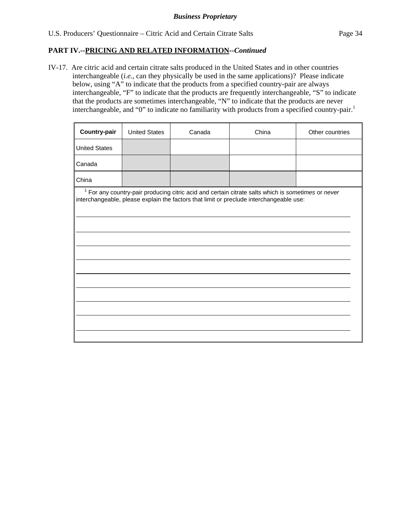$\overline{a}$ 

## **PART IV.--PRICING AND RELATED INFORMATION***--Continued*

IV-17. Are citric acid and certain citrate salts produced in the United States and in other countries interchangeable (*i.e.*, can they physically be used in the same applications)? Please indicate below, using "A" to indicate that the products from a specified country-pair are always interchangeable, "F" to indicate that the products are frequently interchangeable, "S" to indicate that the products are sometimes interchangeable, "N" to indicate that the products are never interchangeable, and "0" to indicate no familiarity with products from a specified country-pair.<sup>1</sup>

| Country-pair                                                                                                                                                                                             | <b>United States</b> | Canada | China | Other countries |  |  |  |
|----------------------------------------------------------------------------------------------------------------------------------------------------------------------------------------------------------|----------------------|--------|-------|-----------------|--|--|--|
| <b>United States</b>                                                                                                                                                                                     |                      |        |       |                 |  |  |  |
| Canada                                                                                                                                                                                                   |                      |        |       |                 |  |  |  |
| China                                                                                                                                                                                                    |                      |        |       |                 |  |  |  |
| <sup>1</sup> For any country-pair producing citric acid and certain citrate salts which is sometimes or never<br>interchangeable, please explain the factors that limit or preclude interchangeable use: |                      |        |       |                 |  |  |  |
|                                                                                                                                                                                                          |                      |        |       |                 |  |  |  |
|                                                                                                                                                                                                          |                      |        |       |                 |  |  |  |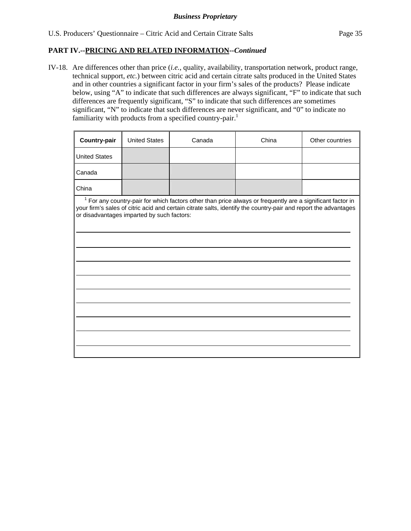$\overline{a}$ 

 $\overline{a}$ 

 $\overline{a}$ 

 $\overline{a}$ 

 $\overline{a}$ 

 $\overline{a}$ 

#### **PART IV.--PRICING AND RELATED INFORMATION***--Continued*

IV-18. Are differences other than price (*i.e.*, quality, availability, transportation network, product range, technical support, *etc.*) between citric acid and certain citrate salts produced in the United States and in other countries a significant factor in your firm's sales of the products? Please indicate below, using "A" to indicate that such differences are always significant, "F" to indicate that such differences are frequently significant, "S" to indicate that such differences are sometimes significant, "N" to indicate that such differences are never significant, and "0" to indicate no familiarity with products from a specified country-pair.<sup>1</sup>

| <b>Country-pair</b>  | <b>United States</b> | Canada | China | Other countries |
|----------------------|----------------------|--------|-------|-----------------|
| <b>United States</b> |                      |        |       |                 |
| Canada               |                      |        |       |                 |
| China                |                      |        |       |                 |

<sup>1</sup> For any country-pair for which factors other than price always or frequently are a significant factor in your firm's sales of citric acid and certain citrate salts, identify the country-pair and report the advantages or disadvantages imparted by such factors: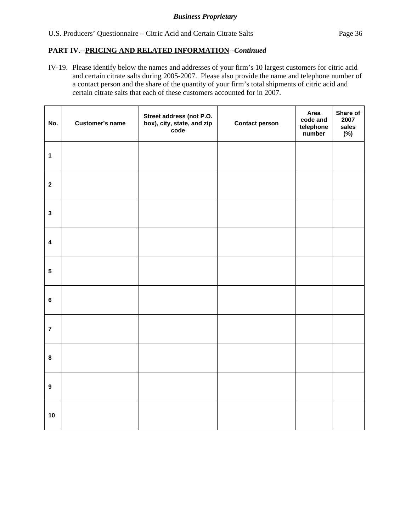IV-19. Please identify below the names and addresses of your firm's 10 largest customers for citric acid and certain citrate salts during 2005-2007. Please also provide the name and telephone number of a contact person and the share of the quantity of your firm's total shipments of citric acid and certain citrate salts that each of these customers accounted for in 2007.

| No.              | <b>Customer's name</b> | Street address (not P.O.<br>box), city, state, and zip<br>code | <b>Contact person</b> | Area<br>code and<br>telephone<br>number | Share of<br>2007<br>sales<br>$(\%)$ |
|------------------|------------------------|----------------------------------------------------------------|-----------------------|-----------------------------------------|-------------------------------------|
| $\mathbf{1}$     |                        |                                                                |                       |                                         |                                     |
| $\boldsymbol{2}$ |                        |                                                                |                       |                                         |                                     |
| $\mathbf{3}$     |                        |                                                                |                       |                                         |                                     |
| $\pmb{4}$        |                        |                                                                |                       |                                         |                                     |
| ${\bf 5}$        |                        |                                                                |                       |                                         |                                     |
| $\bf 6$          |                        |                                                                |                       |                                         |                                     |
| $\overline{7}$   |                        |                                                                |                       |                                         |                                     |
| $\pmb{8}$        |                        |                                                                |                       |                                         |                                     |
| $\boldsymbol{9}$ |                        |                                                                |                       |                                         |                                     |
| 10               |                        |                                                                |                       |                                         |                                     |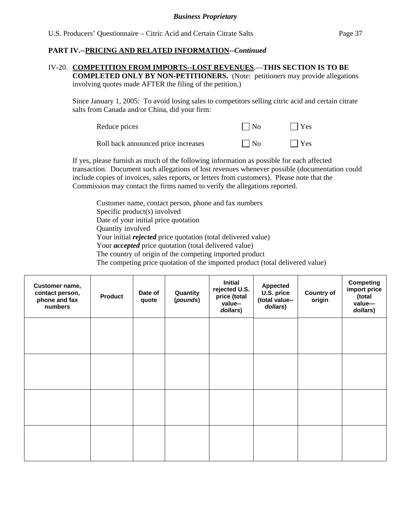## IV-20. **COMPETITION FROM IMPORTS--LOST REVENUES**.—**THIS SECTION IS TO BE**

**COMPLETED ONLY BY NON-PETITIONERS.** (Note: petitioners may provide allegations involving quotes made AFTER the filing of the petition.)

Since January 1, 2005: To avoid losing sales to competitors selling citric acid and certain citrate salts from Canada and/or China, did your firm:

| Reduce prices                       | $\Box$ No | $\Box$ Yes |
|-------------------------------------|-----------|------------|
| Roll back announced price increases | $\Box$ No | $\Box$ Yes |

If yes, please furnish as much of the following information as possible for each affected transaction. Document such allegations of lost revenues whenever possible (documentation could include copies of invoices, sales reports, or letters from customers). Please note that the Commission may contact the firms named to verify the allegations reported.

Customer name, contact person, phone and fax numbers Specific product(s) involved Date of your initial price quotation Quantity involved Your initial *rejected* price quotation (total delivered value) Your *accepted* price quotation (total delivered value) The country of origin of the competing imported product The competing price quotation of the imported product (total delivered value)

| Customer name,<br>contact person,<br>phone and fax<br>numbers | <b>Product</b> | Date of<br>quote | Quantity<br>(pounds) | <b>Initial</b><br>rejected U.S.<br>price (total<br>value--<br>dollars) | <b>Appected</b><br>U.S. price<br>(total value--<br>dollars) | <b>Country of</b><br>origin | <b>Competing</b><br>import price<br>(total<br>value-<br>dollars) |
|---------------------------------------------------------------|----------------|------------------|----------------------|------------------------------------------------------------------------|-------------------------------------------------------------|-----------------------------|------------------------------------------------------------------|
|                                                               |                |                  |                      |                                                                        |                                                             |                             |                                                                  |
|                                                               |                |                  |                      |                                                                        |                                                             |                             |                                                                  |
|                                                               |                |                  |                      |                                                                        |                                                             |                             |                                                                  |
|                                                               |                |                  |                      |                                                                        |                                                             |                             |                                                                  |